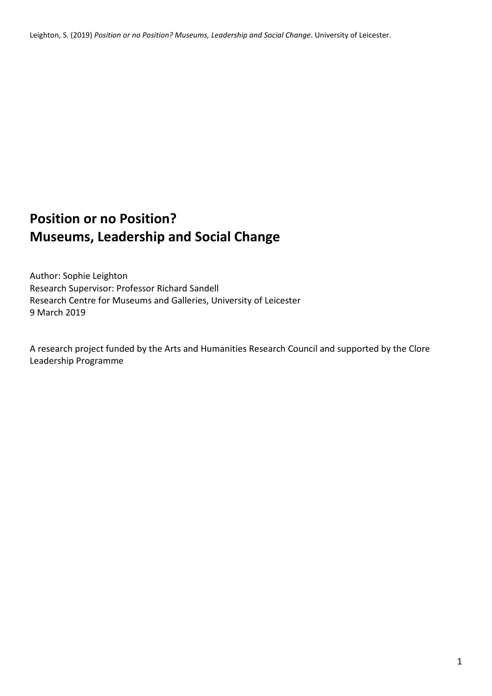Leighton, S. (2019) *Position or no Position? Museums, Leadership and Social Change*. University of Leicester.

# **Position or no Position? Museums, Leadership and Social Change**

Author: Sophie Leighton Research Supervisor: Professor Richard Sandell Research Centre for Museums and Galleries, University of Leicester 9 March 2019

A research project funded by the Arts and Humanities Research Council and supported by the Clore Leadership Programme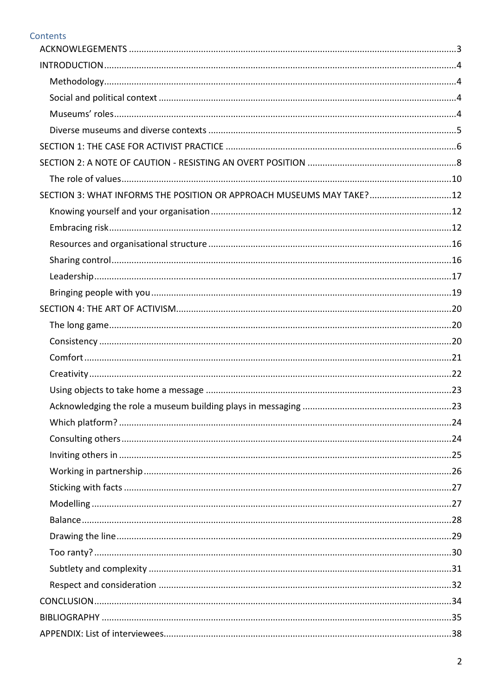# Contents

| SECTION 3: WHAT INFORMS THE POSITION OR APPROACH MUSEUMS MAY TAKE?12 |
|----------------------------------------------------------------------|
|                                                                      |
|                                                                      |
|                                                                      |
|                                                                      |
|                                                                      |
|                                                                      |
|                                                                      |
|                                                                      |
|                                                                      |
|                                                                      |
|                                                                      |
|                                                                      |
|                                                                      |
|                                                                      |
|                                                                      |
|                                                                      |
|                                                                      |
|                                                                      |
|                                                                      |
|                                                                      |
|                                                                      |
|                                                                      |
|                                                                      |
|                                                                      |
|                                                                      |
|                                                                      |
|                                                                      |
|                                                                      |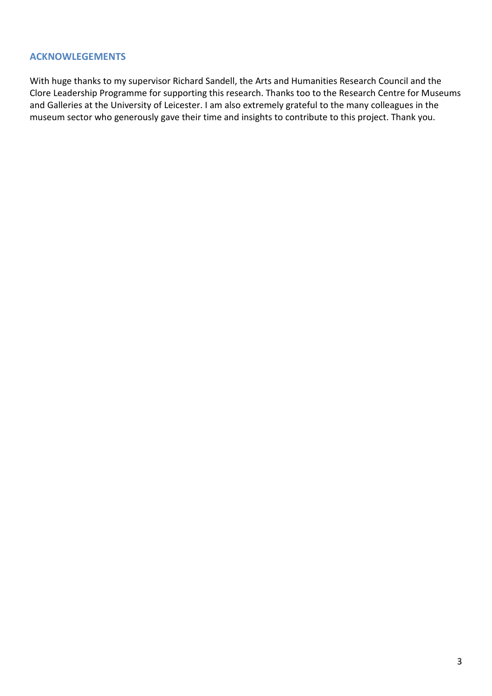#### <span id="page-2-0"></span>**ACKNOWLEGEMENTS**

With huge thanks to my supervisor Richard Sandell, the Arts and Humanities Research Council and the Clore Leadership Programme for supporting this research. Thanks too to the Research Centre for Museums and Galleries at the University of Leicester. I am also extremely grateful to the many colleagues in the museum sector who generously gave their time and insights to contribute to this project. Thank you.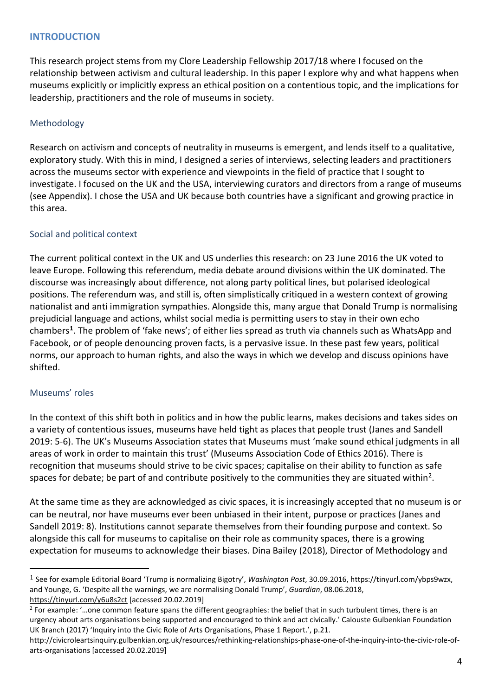## <span id="page-3-0"></span>**INTRODUCTION**

This research project stems from my Clore Leadership Fellowship 2017/18 where I focused on the relationship between activism and cultural leadership. In this paper I explore why and what happens when museums explicitly or implicitly express an ethical position on a contentious topic, and the implications for leadership, practitioners and the role of museums in society.

#### <span id="page-3-1"></span>Methodology

Research on activism and concepts of neutrality in museums is emergent, and lends itself to a qualitative, exploratory study. With this in mind, I designed a series of interviews, selecting leaders and practitioners across the museums sector with experience and viewpoints in the field of practice that I sought to investigate. I focused on the UK and the USA, interviewing curators and directors from a range of museums (see Appendix). I chose the USA and UK because both countries have a significant and growing practice in this area.

#### <span id="page-3-2"></span>Social and political context

The current political context in the UK and US underlies this research: on 23 June 2016 the UK voted to leave Europe. Following this referendum, media debate around divisions within the UK dominated. The discourse was increasingly about difference, not along party political lines, but polarised ideological positions. The referendum was, and still is, often simplistically critiqued in a western context of growing nationalist and anti immigration sympathies. Alongside this, many argue that Donald Trump is normalising prejudicial language and actions, whilst social media is permitting users to stay in their own echo chambers**[1](#page-3-4)**. The problem of 'fake news'; of either lies spread as truth via channels such as WhatsApp and Facebook, or of people denouncing proven facts, is a pervasive issue. In these past few years, political norms, our approach to human rights, and also the ways in which we develop and discuss opinions have shifted.

#### <span id="page-3-3"></span>Museums' roles

In the context of this shift both in politics and in how the public learns, makes decisions and takes sides on a variety of contentious issues, museums have held tight as places that people trust (Janes and Sandell 2019: 5-6). The UK's Museums Association states that Museums must 'make sound ethical judgments in all areas of work in order to maintain this trust' (Museums Association Code of Ethics 2016). There is recognition that museums should strive to be civic spaces; capitalise on their ability to function as safe spaces for debate; be part of and contribute positively to the communities they are situated within<sup>[2](#page-3-5)</sup>.

At the same time as they are acknowledged as civic spaces, it is increasingly accepted that no museum is or can be neutral, nor have museums ever been unbiased in their intent, purpose or practices (Janes and Sandell 2019: 8). Institutions cannot separate themselves from their founding purpose and context. So alongside this call for museums to capitalise on their role as community spaces, there is a growing expectation for museums to acknowledge their biases. Dina Bailey (2018), Director of Methodology and

<span id="page-3-4"></span> <sup>1</sup> See for example Editorial Board 'Trump is normalizing Bigotry', *Washington Post*, 30.09.2016, [https://tinyurl.com/ybps9wzx,](https://tinyurl.com/ybps9wzx) and Younge, G. 'Despite all the warnings, we are normalising Donald Trump', *Guardian*, 08.06.2018, <https://tinyurl.com/y6u8s2ct> [accessed 20.02.2019]

<span id="page-3-5"></span><sup>&</sup>lt;sup>2</sup> For example: '...one common feature spans the different geographies: the belief that in such turbulent times, there is an urgency about arts organisations being supported and encouraged to think and act civically.' Calouste Gulbenkian Foundation UK Branch (2017) 'Inquiry into the Civic Role of Arts Organisations, Phase 1 Report.', p.21.

[http://civicroleartsinquiry.gulbenkian.org.uk/resources/rethinking-relationships-phase-one-of-the-inquiry-into-the-civic-role-of](http://civicroleartsinquiry.gulbenkian.org.uk/resources/rethinking-relationships-phase-one-of-the-inquiry-into-the-civic-role-of-arts-organisations)[arts-organisations](http://civicroleartsinquiry.gulbenkian.org.uk/resources/rethinking-relationships-phase-one-of-the-inquiry-into-the-civic-role-of-arts-organisations) [accessed 20.02.2019]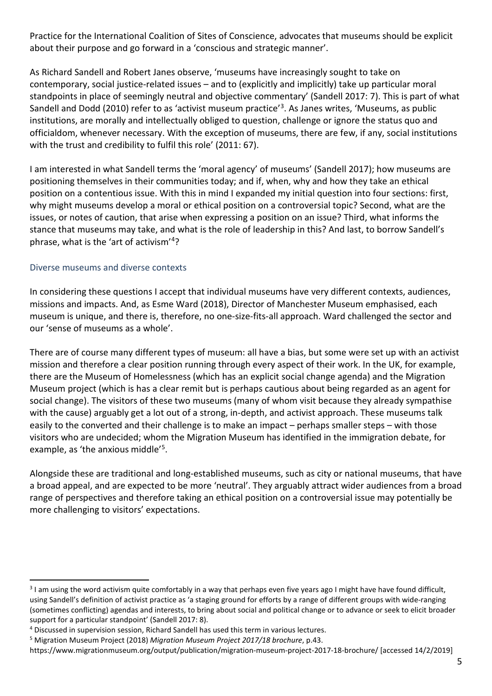Practice for the International Coalition of Sites of Conscience, advocates that museums should be explicit about their purpose and go forward in a 'conscious and strategic manner'.

As Richard Sandell and Robert Janes observe, 'museums have increasingly sought to take on contemporary, social justice-related issues – and to (explicitly and implicitly) take up particular moral standpoints in place of seemingly neutral and objective commentary' (Sandell 2017: 7). This is part of what Sandell and Dodd (2010) refer to as 'activist museum practice'[3](#page-4-1). As Janes writes, 'Museums, as public institutions, are morally and intellectually obliged to question, challenge or ignore the status quo and officialdom, whenever necessary. With the exception of museums, there are few, if any, social institutions with the trust and credibility to fulfil this role' (2011: 67).

I am interested in what Sandell terms the 'moral agency' of museums' (Sandell 2017); how museums are positioning themselves in their communities today; and if, when, why and how they take an ethical position on a contentious issue. With this in mind I expanded my initial question into four sections: first, why might museums develop a moral or ethical position on a controversial topic? Second, what are the issues, or notes of caution, that arise when expressing a position on an issue? Third, what informs the stance that museums may take, and what is the role of leadership in this? And last, to borrow Sandell's phrase, what is the 'art of activism'[4](#page-4-2)?

## <span id="page-4-0"></span>Diverse museums and diverse contexts

In considering these questions I accept that individual museums have very different contexts, audiences, missions and impacts. And, as Esme Ward (2018), Director of Manchester Museum emphasised, each museum is unique, and there is, therefore, no one-size-fits-all approach. Ward challenged the sector and our 'sense of museums as a whole'.

There are of course many different types of museum: all have a bias, but some were set up with an activist mission and therefore a clear position running through every aspect of their work. In the UK, for example, there are the Museum of Homelessness (which has an explicit social change agenda) and the Migration Museum project (which is has a clear remit but is perhaps cautious about being regarded as an agent for social change). The visitors of these two museums (many of whom visit because they already sympathise with the cause) arguably get a lot out of a strong, in-depth, and activist approach. These museums talk easily to the converted and their challenge is to make an impact – perhaps smaller steps – with those visitors who are undecided; whom the Migration Museum has identified in the immigration debate, for example, as 'the anxious middle'[5.](#page-4-3)

Alongside these are traditional and long-established museums, such as city or national museums, that have a broad appeal, and are expected to be more 'neutral'. They arguably attract wider audiences from a broad range of perspectives and therefore taking an ethical position on a controversial issue may potentially be more challenging to visitors' expectations.

<span id="page-4-1"></span><sup>&</sup>lt;sup>3</sup> I am using the word activism quite comfortably in a way that perhaps even five years ago I might have have found difficult, using Sandell's definition of activist practice as 'a staging ground for efforts by a range of different groups with wide-ranging (sometimes conflicting) agendas and interests, to bring about social and political change or to advance or seek to elicit broader support for a particular standpoint' (Sandell 2017: 8).

<span id="page-4-2"></span><sup>4</sup> Discussed in supervision session, Richard Sandell has used this term in various lectures.

<span id="page-4-3"></span><sup>5</sup> Migration Museum Project (2018) *Migration Museum Project 2017/18 brochure*, p.43.

<https://www.migrationmuseum.org/output/publication/migration-museum-project-2017-18-brochure/> [accessed 14/2/2019]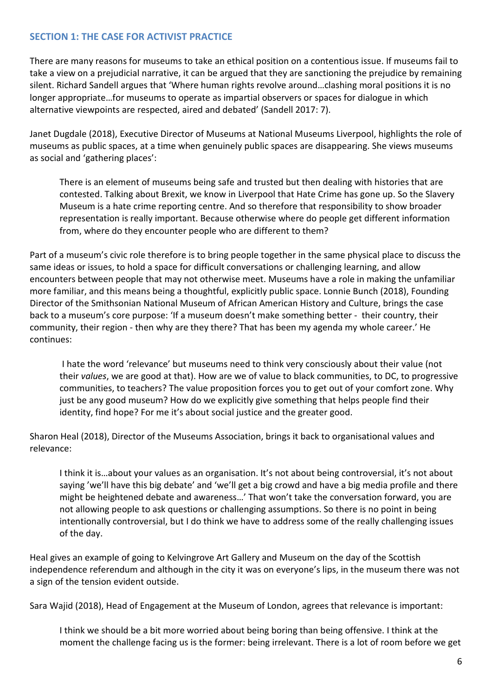# <span id="page-5-0"></span>**SECTION 1: THE CASE FOR ACTIVIST PRACTICE**

There are many reasons for museums to take an ethical position on a contentious issue. If museums fail to take a view on a prejudicial narrative, it can be argued that they are sanctioning the prejudice by remaining silent. Richard Sandell argues that 'Where human rights revolve around…clashing moral positions it is no longer appropriate…for museums to operate as impartial observers or spaces for dialogue in which alternative viewpoints are respected, aired and debated' (Sandell 2017: 7).

Janet Dugdale (2018), Executive Director of Museums at National Museums Liverpool, highlights the role of museums as public spaces, at a time when genuinely public spaces are disappearing. She views museums as social and 'gathering places':

There is an element of museums being safe and trusted but then dealing with histories that are contested. Talking about Brexit, we know in Liverpool that Hate Crime has gone up. So the Slavery Museum is a hate crime reporting centre. And so therefore that responsibility to show broader representation is really important. Because otherwise where do people get different information from, where do they encounter people who are different to them?

Part of a museum's civic role therefore is to bring people together in the same physical place to discuss the same ideas or issues, to hold a space for difficult conversations or challenging learning, and allow encounters between people that may not otherwise meet. Museums have a role in making the unfamiliar more familiar, and this means being a thoughtful, explicitly public space. Lonnie Bunch (2018), Founding Director of the Smithsonian National Museum of African American History and Culture, brings the case back to a museum's core purpose: 'If a museum doesn't make something better - their country, their community, their region - then why are they there? That has been my agenda my whole career.' He continues:

I hate the word 'relevance' but museums need to think very consciously about their value (not their *values*, we are good at that). How are we of value to black communities, to DC, to progressive communities, to teachers? The value proposition forces you to get out of your comfort zone. Why just be any good museum? How do we explicitly give something that helps people find their identity, find hope? For me it's about social justice and the greater good.

Sharon Heal (2018), Director of the Museums Association, brings it back to organisational values and relevance:

I think it is…about your values as an organisation. It's not about being controversial, it's not about saying 'we'll have this big debate' and 'we'll get a big crowd and have a big media profile and there might be heightened debate and awareness…' That won't take the conversation forward, you are not allowing people to ask questions or challenging assumptions. So there is no point in being intentionally controversial, but I do think we have to address some of the really challenging issues of the day.

Heal gives an example of going to Kelvingrove Art Gallery and Museum on the day of the Scottish independence referendum and although in the city it was on everyone's lips, in the museum there was not a sign of the tension evident outside.

Sara Wajid (2018), Head of Engagement at the Museum of London, agrees that relevance is important:

I think we should be a bit more worried about being boring than being offensive. I think at the moment the challenge facing us is the former: being irrelevant. There is a lot of room before we get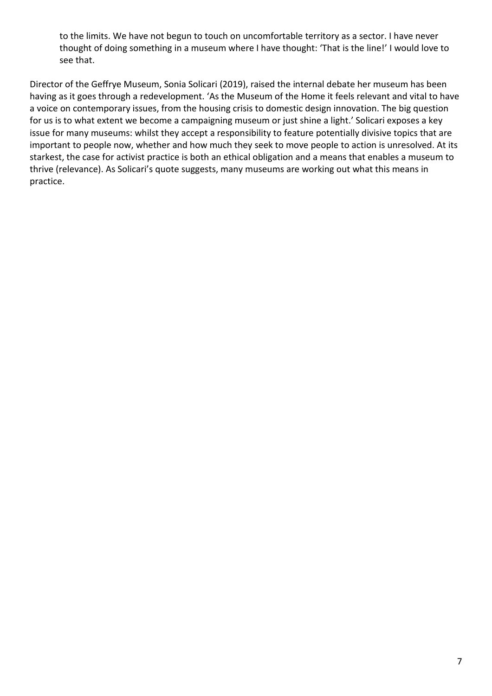to the limits. We have not begun to touch on uncomfortable territory as a sector. I have never thought of doing something in a museum where I have thought: 'That is the line!' I would love to see that.

Director of the Geffrye Museum, Sonia Solicari (2019), raised the internal debate her museum has been having as it goes through a redevelopment. 'As the Museum of the Home it feels relevant and vital to have a voice on contemporary issues, from the housing crisis to domestic design innovation. The big question for us is to what extent we become a campaigning museum or just shine a light.' Solicari exposes a key issue for many museums: whilst they accept a responsibility to feature potentially divisive topics that are important to people now, whether and how much they seek to move people to action is unresolved. At its starkest, the case for activist practice is both an ethical obligation and a means that enables a museum to thrive (relevance). As Solicari's quote suggests, many museums are working out what this means in practice.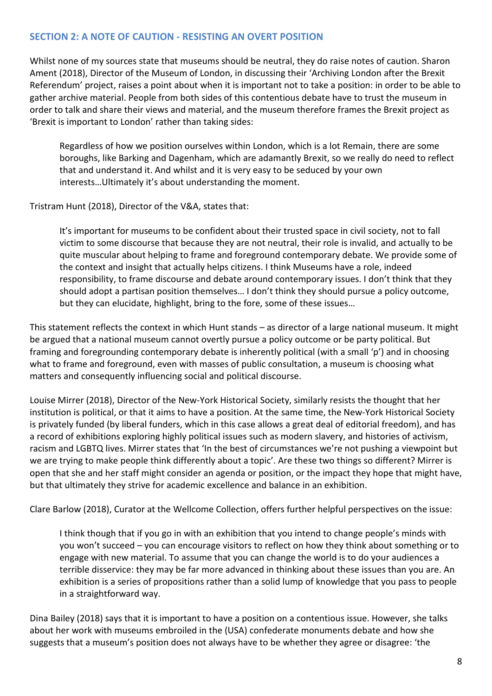## <span id="page-7-0"></span>**SECTION 2: A NOTE OF CAUTION - RESISTING AN OVERT POSITION**

Whilst none of my sources state that museums should be neutral, they do raise notes of caution. Sharon Ament (2018), Director of the Museum of London, in discussing their 'Archiving London after the Brexit Referendum' project, raises a point about when it is important not to take a position: in order to be able to gather archive material. People from both sides of this contentious debate have to trust the museum in order to talk and share their views and material, and the museum therefore frames the Brexit project as 'Brexit is important to London' rather than taking sides:

Regardless of how we position ourselves within London, which is a lot Remain, there are some boroughs, like Barking and Dagenham, which are adamantly Brexit, so we really do need to reflect that and understand it. And whilst and it is very easy to be seduced by your own interests…Ultimately it's about understanding the moment.

Tristram Hunt (2018), Director of the V&A, states that:

It's important for museums to be confident about their trusted space in civil society, not to fall victim to some discourse that because they are not neutral, their role is invalid, and actually to be quite muscular about helping to frame and foreground contemporary debate. We provide some of the context and insight that actually helps citizens. I think Museums have a role, indeed responsibility, to frame discourse and debate around contemporary issues. I don't think that they should adopt a partisan position themselves… I don't think they should pursue a policy outcome, but they can elucidate, highlight, bring to the fore, some of these issues…

This statement reflects the context in which Hunt stands – as director of a large national museum. It might be argued that a national museum cannot overtly pursue a policy outcome or be party political. But framing and foregrounding contemporary debate is inherently political (with a small 'p') and in choosing what to frame and foreground, even with masses of public consultation, a museum is choosing what matters and consequently influencing social and political discourse.

Louise Mirrer (2018), Director of the New-York Historical Society, similarly resists the thought that her institution is political, or that it aims to have a position. At the same time, the New-York Historical Society is privately funded (by liberal funders, which in this case allows a great deal of editorial freedom), and has a record of exhibitions exploring highly political issues such as modern slavery, and histories of activism, racism and LGBTQ lives. Mirrer states that 'In the best of circumstances we're not pushing a viewpoint but we are trying to make people think differently about a topic'. Are these two things so different? Mirrer is open that she and her staff might consider an agenda or position, or the impact they hope that might have, but that ultimately they strive for academic excellence and balance in an exhibition.

Clare Barlow (2018), Curator at the Wellcome Collection, offers further helpful perspectives on the issue:

I think though that if you go in with an exhibition that you intend to change people's minds with you won't succeed – you can encourage visitors to reflect on how they think about something or to engage with new material. To assume that you can change the world is to do your audiences a terrible disservice: they may be far more advanced in thinking about these issues than you are. An exhibition is a series of propositions rather than a solid lump of knowledge that you pass to people in a straightforward way.

Dina Bailey (2018) says that it is important to have a position on a contentious issue. However, she talks about her work with museums embroiled in the (USA) confederate monuments debate and how she suggests that a museum's position does not always have to be whether they agree or disagree: 'the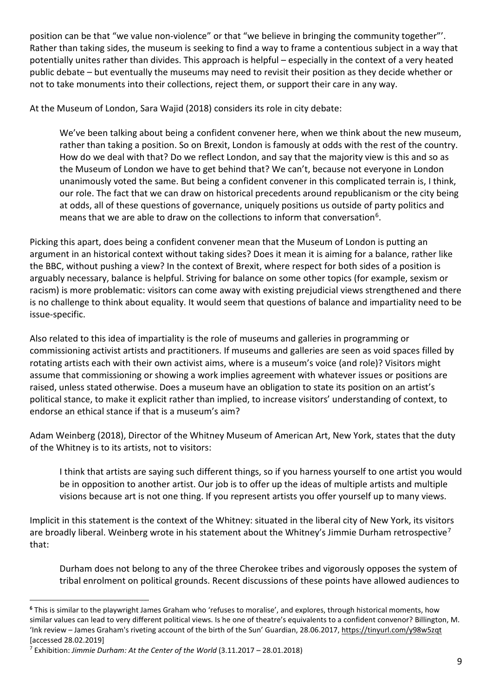position can be that "we value non-violence" or that "we believe in bringing the community together"'. Rather than taking sides, the museum is seeking to find a way to frame a contentious subject in a way that potentially unites rather than divides. This approach is helpful – especially in the context of a very heated public debate – but eventually the museums may need to revisit their position as they decide whether or not to take monuments into their collections, reject them, or support their care in any way.

At the Museum of London, Sara Wajid (2018) considers its role in city debate:

We've been talking about being a confident convener here, when we think about the new museum, rather than taking a position. So on Brexit, London is famously at odds with the rest of the country. How do we deal with that? Do we reflect London, and say that the majority view is this and so as the Museum of London we have to get behind that? We can't, because not everyone in London unanimously voted the same. But being a confident convener in this complicated terrain is, I think, our role. The fact that we can draw on historical precedents around republicanism or the city being at odds, all of these questions of governance, uniquely positions us outside of party politics and means that we are able to draw on the collections to inform that conversation<sup>[6](#page-8-0)</sup>.

Picking this apart, does being a confident convener mean that the Museum of London is putting an argument in an historical context without taking sides? Does it mean it is aiming for a balance, rather like the BBC, without pushing a view? In the context of Brexit, where respect for both sides of a position is arguably necessary, balance is helpful. Striving for balance on some other topics (for example, sexism or racism) is more problematic: visitors can come away with existing prejudicial views strengthened and there is no challenge to think about equality. It would seem that questions of balance and impartiality need to be issue-specific.

Also related to this idea of impartiality is the role of museums and galleries in programming or commissioning activist artists and practitioners. If museums and galleries are seen as void spaces filled by rotating artists each with their own activist aims, where is a museum's voice (and role)? Visitors might assume that commissioning or showing a work implies agreement with whatever issues or positions are raised, unless stated otherwise. Does a museum have an obligation to state its position on an artist's political stance, to make it explicit rather than implied, to increase visitors' understanding of context, to endorse an ethical stance if that is a museum's aim?

Adam Weinberg (2018), Director of the Whitney Museum of American Art, New York, states that the duty of the Whitney is to its artists, not to visitors:

I think that artists are saying such different things, so if you harness yourself to one artist you would be in opposition to another artist. Our job is to offer up the ideas of multiple artists and multiple visions because art is not one thing. If you represent artists you offer yourself up to many views.

Implicit in this statement is the context of the Whitney: situated in the liberal city of New York, its visitors are broadly liberal. Weinberg wrote in his statement about the Whitney's Jimmie Durham retrospective<sup>[7](#page-8-1)</sup> that:

Durham does not belong to any of the three Cherokee tribes and vigorously opposes the system of tribal enrolment on political grounds. Recent discussions of these points have allowed audiences to

<span id="page-8-0"></span>**<sup>6</sup>** This is similar to the playwright James Graham who 'refuses to moralise', and explores, through historical moments, how similar values can lead to very different political views. Is he one of theatre's equivalents to a confident convenor? Billington, M. 'Ink review – James Graham's riveting account of the birth of the Sun' Guardian, 28.06.2017,<https://tinyurl.com/y98w5zqt> [accessed 28.02.2019]

<span id="page-8-1"></span><sup>7</sup> Exhibition: *Jimmie Durham: At the Center of the World* (3.11.2017 – 28.01.2018)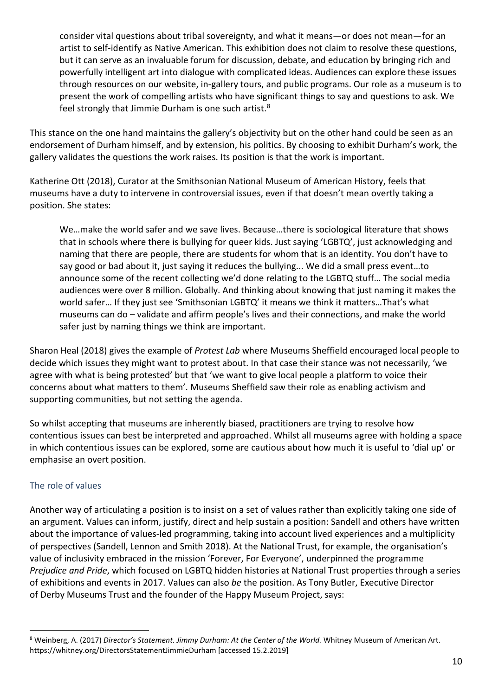consider vital questions about tribal sovereignty, and what it means—or does not mean—for an artist to self-identify as Native American. This exhibition does not claim to resolve these questions, but it can serve as an invaluable forum for discussion, debate, and education by bringing rich and powerfully intelligent art into dialogue with complicated ideas. Audiences can explore these issues through resources on our website, in-gallery tours, and public programs. Our role as a museum is to present the work of compelling artists who have significant things to say and questions to ask. We feel strongly that Jimmie Durham is one such artist.[8](#page-9-1)

This stance on the one hand maintains the gallery's objectivity but on the other hand could be seen as an endorsement of Durham himself, and by extension, his politics. By choosing to exhibit Durham's work, the gallery validates the questions the work raises. Its position is that the work is important.

Katherine Ott (2018), Curator at the Smithsonian National Museum of American History, feels that museums have a duty to intervene in controversial issues, even if that doesn't mean overtly taking a position. She states:

We…make the world safer and we save lives. Because…there is sociological literature that shows that in schools where there is bullying for queer kids. Just saying 'LGBTQ', just acknowledging and naming that there are people, there are students for whom that is an identity. You don't have to say good or bad about it, just saying it reduces the bullying... We did a small press event…to announce some of the recent collecting we'd done relating to the LGBTQ stuff… The social media audiences were over 8 million. Globally. And thinking about knowing that just naming it makes the world safer… If they just see 'Smithsonian LGBTQ' it means we think it matters…That's what museums can do – validate and affirm people's lives and their connections, and make the world safer just by naming things we think are important.

Sharon Heal (2018) gives the example of *Protest Lab* where Museums Sheffield encouraged local people to decide which issues they might want to protest about. In that case their stance was not necessarily, 'we agree with what is being protested' but that 'we want to give local people a platform to voice their concerns about what matters to them'. Museums Sheffield saw their role as enabling activism and supporting communities, but not setting the agenda.

So whilst accepting that museums are inherently biased, practitioners are trying to resolve how contentious issues can best be interpreted and approached. Whilst all museums agree with holding a space in which contentious issues can be explored, some are cautious about how much it is useful to 'dial up' or emphasise an overt position.

# <span id="page-9-0"></span>The role of values

Another way of articulating a position is to insist on a set of values rather than explicitly taking one side of an argument. Values can inform, justify, direct and help sustain a position: Sandell and others have written about the importance of values-led programming, taking into account lived experiences and a multiplicity of perspectives (Sandell, Lennon and Smith 2018). At the National Trust, for example, the organisation's value of inclusivity embraced in the mission 'Forever, For Everyone', underpinned the programme *Prejudice and Pride*, which focused on LGBTQ hidden histories at National Trust properties through a series of exhibitions and events in 2017. Values can also *be* the position. As Tony Butler, Executive Director of Derby Museums Trust and the founder of the Happy Museum Project, says:

<span id="page-9-1"></span><sup>8</sup> Weinberg, A. (2017) *Director's Statement. Jimmy Durham: At the Center of the World.* Whitney Museum of American Art. <https://whitney.org/DirectorsStatementJimmieDurham> [accessed 15.2.2019]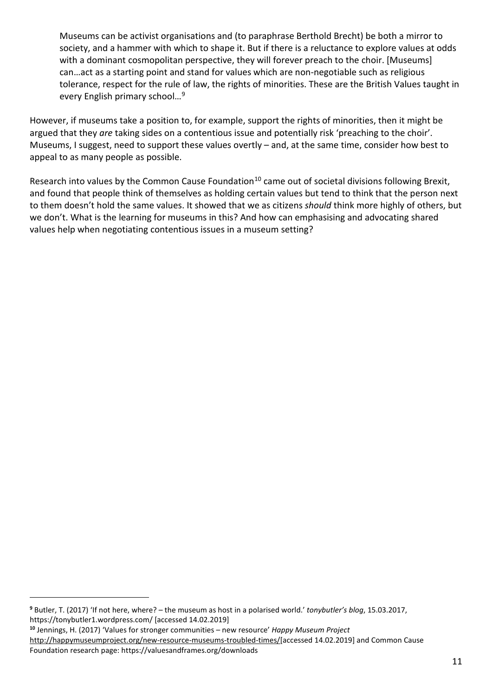Museums can be activist organisations and (to paraphrase Berthold Brecht) be both a mirror to society, and a hammer with which to shape it. But if there is a reluctance to explore values at odds with a dominant cosmopolitan perspective, they will forever preach to the choir. [Museums] can…act as a starting point and stand for values which are non-negotiable such as religious tolerance, respect for the rule of law, the rights of minorities. These are the British Values taught in every English primary school…[9](#page-10-0)

However, if museums take a position to, for example, support the rights of minorities, then it might be argued that they *are* taking sides on a contentious issue and potentially risk 'preaching to the choir'. Museums, I suggest, need to support these values overtly – and, at the same time, consider how best to appeal to as many people as possible.

Research into values by the Common Cause Foundation<sup>[10](#page-10-1)</sup> came out of societal divisions following Brexit, and found that people think of themselves as holding certain values but tend to think that the person next to them doesn't hold the same values. It showed that we as citizens *should* think more highly of others, but we don't. What is the learning for museums in this? And how can emphasising and advocating shared values help when negotiating contentious issues in a museum setting?

i<br>I

<span id="page-10-0"></span>**<sup>9</sup>** Butler, T. (2017) 'If not here, where? – the museum as host in a [polarised](https://tonybutler1.wordpress.com/2017/03/15/if-not-here-where-the-museum-as-host-in-a-polarised-world/) world.' *tonybutler's blog*, 15.03.2017, <https://tonybutler1.wordpress.com/> [accessed 14.02.2019]

<span id="page-10-1"></span>**<sup>10</sup>** Jennings, H. (2017) 'Values for stronger communities – new resource' *Happy Museum Project*

[http://happymuseumproject.org/new-resource-museums-troubled-times/\[](http://happymuseumproject.org/new-resource-museums-troubled-times/)accessed 14.02.2019] and Common Cause Foundation research page: https://valuesandframes.org/downloads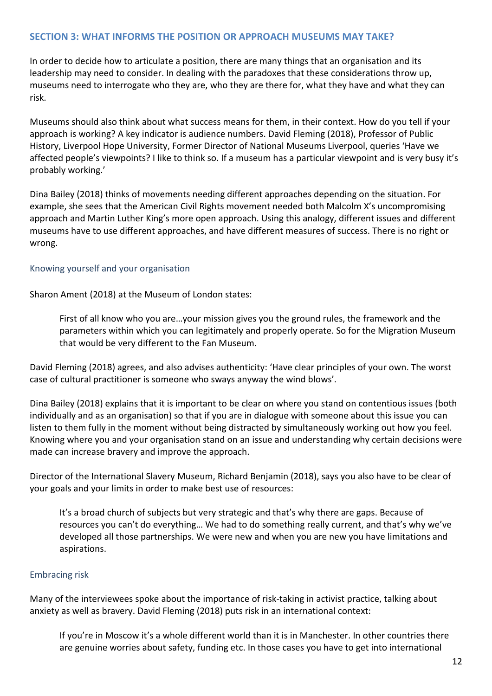## <span id="page-11-0"></span>**SECTION 3: WHAT INFORMS THE POSITION OR APPROACH MUSEUMS MAY TAKE?**

In order to decide how to articulate a position, there are many things that an organisation and its leadership may need to consider. In dealing with the paradoxes that these considerations throw up, museums need to interrogate who they are, who they are there for, what they have and what they can risk.

Museums should also think about what success means for them, in their context. How do you tell if your approach is working? A key indicator is audience numbers. David Fleming (2018), Professor of Public History, Liverpool Hope University, Former Director of National Museums Liverpool, queries 'Have we affected people's viewpoints? I like to think so. If a museum has a particular viewpoint and is very busy it's probably working.'

Dina Bailey (2018) thinks of movements needing different approaches depending on the situation. For example, she sees that the American Civil Rights movement needed both Malcolm X's uncompromising approach and Martin Luther King's more open approach. Using this analogy, different issues and different museums have to use different approaches, and have different measures of success. There is no right or wrong.

#### <span id="page-11-1"></span>Knowing yourself and your organisation

Sharon Ament (2018) at the Museum of London states:

First of all know who you are…your mission gives you the ground rules, the framework and the parameters within which you can legitimately and properly operate. So for the Migration Museum that would be very different to the Fan Museum.

David Fleming (2018) agrees, and also advises authenticity: 'Have clear principles of your own. The worst case of cultural practitioner is someone who sways anyway the wind blows'.

Dina Bailey (2018) explains that it is important to be clear on where you stand on contentious issues (both individually and as an organisation) so that if you are in dialogue with someone about this issue you can listen to them fully in the moment without being distracted by simultaneously working out how you feel. Knowing where you and your organisation stand on an issue and understanding why certain decisions were made can increase bravery and improve the approach.

Director of the International Slavery Museum, Richard Benjamin (2018), says you also have to be clear of your goals and your limits in order to make best use of resources:

It's a broad church of subjects but very strategic and that's why there are gaps. Because of resources you can't do everything… We had to do something really current, and that's why we've developed all those partnerships. We were new and when you are new you have limitations and aspirations.

#### <span id="page-11-2"></span>Embracing risk

Many of the interviewees spoke about the importance of risk-taking in activist practice, talking about anxiety as well as bravery. David Fleming (2018) puts risk in an international context:

If you're in Moscow it's a whole different world than it is in Manchester. In other countries there are genuine worries about safety, funding etc. In those cases you have to get into international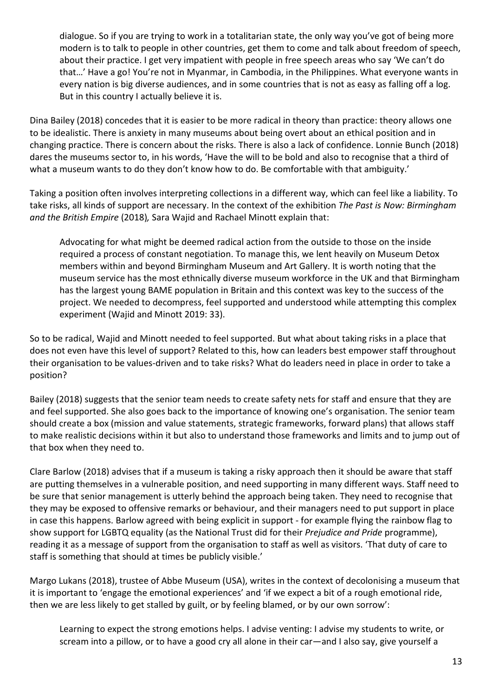dialogue. So if you are trying to work in a totalitarian state, the only way you've got of being more modern is to talk to people in other countries, get them to come and talk about freedom of speech, about their practice. I get very impatient with people in free speech areas who say 'We can't do that…' Have a go! You're not in Myanmar, in Cambodia, in the Philippines. What everyone wants in every nation is big diverse audiences, and in some countries that is not as easy as falling off a log. But in this country I actually believe it is.

Dina Bailey (2018) concedes that it is easier to be more radical in theory than practice: theory allows one to be idealistic. There is anxiety in many museums about being overt about an ethical position and in changing practice. There is concern about the risks. There is also a lack of confidence. Lonnie Bunch (2018) dares the museums sector to, in his words, 'Have the will to be bold and also to recognise that a third of what a museum wants to do they don't know how to do. Be comfortable with that ambiguity.'

Taking a position often involves interpreting collections in a different way, which can feel like a liability. To take risks, all kinds of support are necessary. In the context of the exhibition *The Past is Now: Birmingham and the British Empire* (2018)*,* Sara Wajid and Rachael Minott explain that:

Advocating for what might be deemed radical action from the outside to those on the inside required a process of constant negotiation. To manage this, we lent heavily on Museum Detox members within and beyond Birmingham Museum and Art Gallery. It is worth noting that the museum service has the most ethnically diverse museum workforce in the UK and that Birmingham has the largest young BAME population in Britain and this context was key to the success of the project. We needed to decompress, feel supported and understood while attempting this complex experiment (Wajid and Minott 2019: 33).

So to be radical, Wajid and Minott needed to feel supported. But what about taking risks in a place that does not even have this level of support? Related to this, how can leaders best empower staff throughout their organisation to be values-driven and to take risks? What do leaders need in place in order to take a position?

Bailey (2018) suggests that the senior team needs to create safety nets for staff and ensure that they are and feel supported. She also goes back to the importance of knowing one's organisation. The senior team should create a box (mission and value statements, strategic frameworks, forward plans) that allows staff to make realistic decisions within it but also to understand those frameworks and limits and to jump out of that box when they need to.

Clare Barlow (2018) advises that if a museum is taking a risky approach then it should be aware that staff are putting themselves in a vulnerable position, and need supporting in many different ways. Staff need to be sure that senior management is utterly behind the approach being taken. They need to recognise that they may be exposed to offensive remarks or behaviour, and their managers need to put support in place in case this happens. Barlow agreed with being explicit in support - for example flying the rainbow flag to show support for LGBTQ equality (as the National Trust did for their *Prejudice and Pride* programme), reading it as a message of support from the organisation to staff as well as visitors. 'That duty of care to staff is something that should at times be publicly visible.'

Margo Lukans (2018), trustee of Abbe Museum (USA), writes in the context of decolonising a museum that it is important to 'engage the emotional experiences' and 'if we expect a bit of a rough emotional ride, then we are less likely to get stalled by guilt, or by feeling blamed, or by our own sorrow':

Learning to expect the strong emotions helps. I advise venting: I advise my students to write, or scream into a pillow, or to have a good cry all alone in their car—and I also say, give yourself a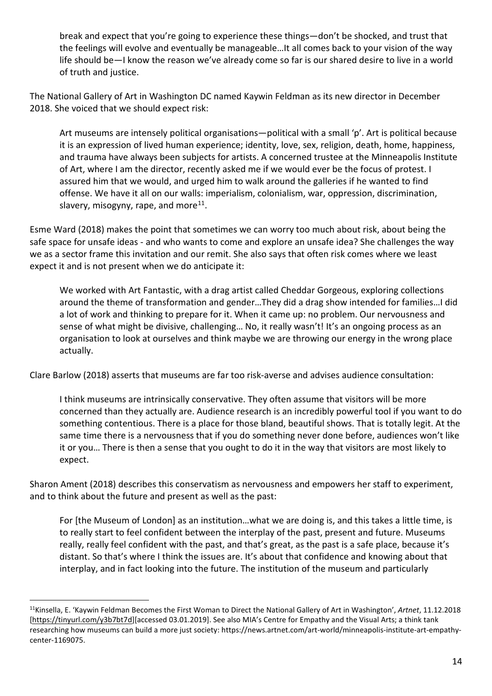break and expect that you're going to experience these things—don't be shocked, and trust that the feelings will evolve and eventually be manageable…It all comes back to your vision of the way life should be—I know the reason we've already come so far is our shared desire to live in a world of truth and justice.

The National Gallery of Art in Washington DC named Kaywin Feldman as its new director in December 2018. She voiced that we should expect risk:

Art museums are intensely political organisations—political with a small 'p'. Art is political because it is an expression of lived human experience; identity, love, sex, religion, death, home, happiness, and trauma have always been subjects for artists. A concerned trustee at the Minneapolis Institute of Art, where I am the director, recently asked me if we would ever be the focus of protest. I assured him that we would, and urged him to walk around the galleries if he wanted to find offense. We have it all on our walls: imperialism, colonialism, war, oppression, discrimination, slavery, misogyny, rape, and more $^{11}$ .

Esme Ward (2018) makes the point that sometimes we can worry too much about risk, about being the safe space for unsafe ideas - and who wants to come and explore an unsafe idea? She challenges the way we as a sector frame this invitation and our remit. She also says that often risk comes where we least expect it and is not present when we do anticipate it:

We worked with Art Fantastic, with a drag artist called Cheddar Gorgeous, exploring collections around the theme of transformation and gender…They did a drag show intended for families…I did a lot of work and thinking to prepare for it. When it came up: no problem. Our nervousness and sense of what might be divisive, challenging… No, it really wasn't! It's an ongoing process as an organisation to look at ourselves and think maybe we are throwing our energy in the wrong place actually.

Clare Barlow (2018) asserts that museums are far too risk-averse and advises audience consultation:

I think museums are intrinsically conservative. They often assume that visitors will be more concerned than they actually are. Audience research is an incredibly powerful tool if you want to do something contentious. There is a place for those bland, beautiful shows. That is totally legit. At the same time there is a nervousness that if you do something never done before, audiences won't like it or you… There is then a sense that you ought to do it in the way that visitors are most likely to expect.

Sharon Ament (2018) describes this conservatism as nervousness and empowers her staff to experiment, and to think about the future and present as well as the past:

For [the Museum of London] as an institution…what we are doing is, and this takes a little time, is to really start to feel confident between the interplay of the past, present and future. Museums really, really feel confident with the past, and that's great, as the past is a safe place, because it's distant. So that's where I think the issues are. It's about that confidence and knowing about that interplay, and in fact looking into the future. The institution of the museum and particularly

<span id="page-13-0"></span>11Kinsella, E. 'Kaywin Feldman Becomes the First Woman to Direct the National Gallery of Art in Washington', *Artnet*, 11.12.2018 [\[https://tinyurl.com/y3b7bt7d\]](https://tinyurl.com/y3b7bt7d)[accessed 03.01.2019]. See also MIA's Centre for Empathy and the Visual Arts; a think tank researching how museums can build a more just society: https://news.artnet.com/art-world/minneapolis-institute-art-empathycenter-1169075.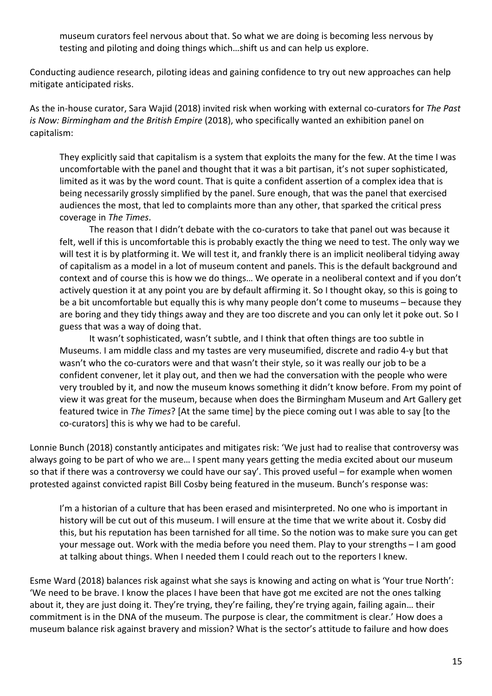museum curators feel nervous about that. So what we are doing is becoming less nervous by testing and piloting and doing things which…shift us and can help us explore.

Conducting audience research, piloting ideas and gaining confidence to try out new approaches can help mitigate anticipated risks.

As the in-house curator, Sara Wajid (2018) invited risk when working with external co-curators for *The Past is Now: Birmingham and the British Empire* (2018), who specifically wanted an exhibition panel on capitalism:

They explicitly said that capitalism is a system that exploits the many for the few. At the time I was uncomfortable with the panel and thought that it was a bit partisan, it's not super sophisticated, limited as it was by the word count. That is quite a confident assertion of a complex idea that is being necessarily grossly simplified by the panel. Sure enough, that was the panel that exercised audiences the most, that led to complaints more than any other, that sparked the critical press coverage in *The Times*.

The reason that I didn't debate with the co-curators to take that panel out was because it felt, well if this is uncomfortable this is probably exactly the thing we need to test. The only way we will test it is by platforming it. We will test it, and frankly there is an implicit neoliberal tidying away of capitalism as a model in a lot of museum content and panels. This is the default background and context and of course this is how we do things… We operate in a neoliberal context and if you don't actively question it at any point you are by default affirming it. So I thought okay, so this is going to be a bit uncomfortable but equally this is why many people don't come to museums – because they are boring and they tidy things away and they are too discrete and you can only let it poke out. So I guess that was a way of doing that.

It wasn't sophisticated, wasn't subtle, and I think that often things are too subtle in Museums. I am middle class and my tastes are very museumified, discrete and radio 4-y but that wasn't who the co-curators were and that wasn't their style, so it was really our job to be a confident convener, let it play out, and then we had the conversation with the people who were very troubled by it, and now the museum knows something it didn't know before. From my point of view it was great for the museum, because when does the Birmingham Museum and Art Gallery get featured twice in *The Times*? [At the same time] by the piece coming out I was able to say [to the co-curators] this is why we had to be careful.

Lonnie Bunch (2018) constantly anticipates and mitigates risk: 'We just had to realise that controversy was always going to be part of who we are… I spent many years getting the media excited about our museum so that if there was a controversy we could have our say'. This proved useful – for example when women protested against convicted rapist Bill Cosby being featured in the museum. Bunch's response was:

I'm a historian of a culture that has been erased and misinterpreted. No one who is important in history will be cut out of this museum. I will ensure at the time that we write about it. Cosby did this, but his reputation has been tarnished for all time. So the notion was to make sure you can get your message out. Work with the media before you need them. Play to your strengths – I am good at talking about things. When I needed them I could reach out to the reporters I knew.

Esme Ward (2018) balances risk against what she says is knowing and acting on what is 'Your true North': 'We need to be brave. I know the places I have been that have got me excited are not the ones talking about it, they are just doing it. They're trying, they're failing, they're trying again, failing again… their commitment is in the DNA of the museum. The purpose is clear, the commitment is clear.' How does a museum balance risk against bravery and mission? What is the sector's attitude to failure and how does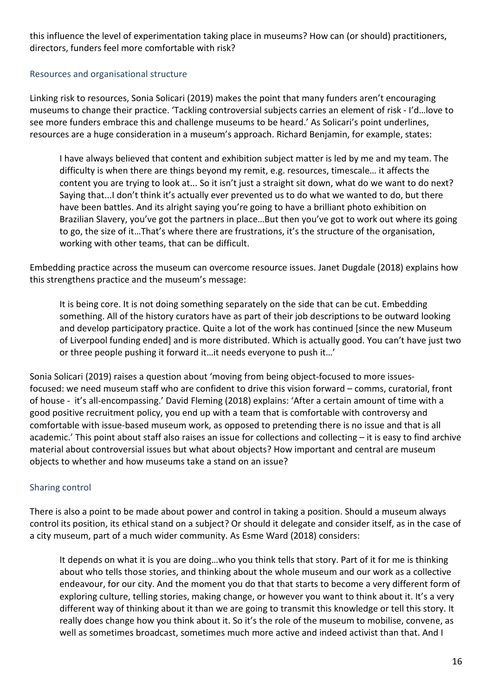this influence the level of experimentation taking place in museums? How can (or should) practitioners, directors, funders feel more comfortable with risk?

## <span id="page-15-0"></span>Resources and organisational structure

Linking risk to resources, Sonia Solicari (2019) makes the point that many funders aren't encouraging museums to change their practice. 'Tackling controversial subjects carries an element of risk - I'd…love to see more funders embrace this and challenge museums to be heard.' As Solicari's point underlines, resources are a huge consideration in a museum's approach. Richard Benjamin, for example, states:

I have always believed that content and exhibition subject matter is led by me and my team. The difficulty is when there are things beyond my remit, e.g. resources, timescale… it affects the content you are trying to look at... So it isn't just a straight sit down, what do we want to do next? Saying that...I don't think it's actually ever prevented us to do what we wanted to do, but there have been battles. And its alright saying you're going to have a brilliant photo exhibition on Brazilian Slavery, you've got the partners in place…But then you've got to work out where its going to go, the size of it…That's where there are frustrations, it's the structure of the organisation, working with other teams, that can be difficult.

Embedding practice across the museum can overcome resource issues. Janet Dugdale (2018) explains how this strengthens practice and the museum's message:

It is being core. It is not doing something separately on the side that can be cut. Embedding something. All of the history curators have as part of their job descriptions to be outward looking and develop participatory practice. Quite a lot of the work has continued [since the new Museum of Liverpool funding ended] and is more distributed. Which is actually good. You can't have just two or three people pushing it forward it…it needs everyone to push it…'

Sonia Solicari (2019) raises a question about 'moving from being object-focused to more issuesfocused: we need museum staff who are confident to drive this vision forward – comms, curatorial, front of house - it's all-encompassing.' David Fleming (2018) explains: 'After a certain amount of time with a good positive recruitment policy, you end up with a team that is comfortable with controversy and comfortable with issue-based museum work, as opposed to pretending there is no issue and that is all academic.' This point about staff also raises an issue for collections and collecting – it is easy to find archive material about controversial issues but what about objects? How important and central are museum objects to whether and how museums take a stand on an issue?

## <span id="page-15-1"></span>Sharing control

There is also a point to be made about power and control in taking a position. Should a museum always control its position, its ethical stand on a subject? Or should it delegate and consider itself, as in the case of a city museum, part of a much wider community. As Esme Ward (2018) considers:

It depends on what it is you are doing…who you think tells that story. Part of it for me is thinking about who tells those stories, and thinking about the whole museum and our work as a collective endeavour, for our city. And the moment you do that that starts to become a very different form of exploring culture, telling stories, making change, or however you want to think about it. It's a very different way of thinking about it than we are going to transmit this knowledge or tell this story. It really does change how you think about it. So it's the role of the museum to mobilise, convene, as well as sometimes broadcast, sometimes much more active and indeed activist than that. And I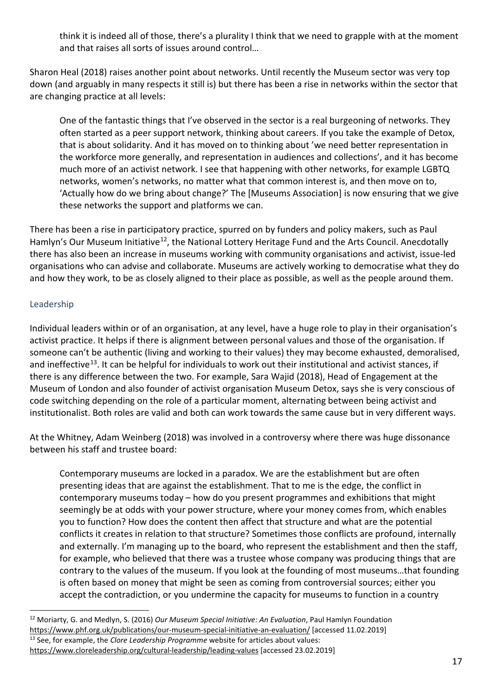think it is indeed all of those, there's a plurality I think that we need to grapple with at the moment and that raises all sorts of issues around control…

Sharon Heal (2018) raises another point about networks. Until recently the Museum sector was very top down (and arguably in many respects it still is) but there has been a rise in networks within the sector that are changing practice at all levels:

One of the fantastic things that I've observed in the sector is a real burgeoning of networks. They often started as a peer support network, thinking about careers. If you take the example of Detox, that is about solidarity. And it has moved on to thinking about 'we need better representation in the workforce more generally, and representation in audiences and collections', and it has become much more of an activist network. I see that happening with other networks, for example LGBTQ networks, women's networks, no matter what that common interest is, and then move on to, 'Actually how do we bring about change?' The [Museums Association] is now ensuring that we give these networks the support and platforms we can.

There has been a rise in participatory practice, spurred on by funders and policy makers, such as Paul Hamlyn's Our Museum Initiative<sup>[12](#page-16-1)</sup>, the National Lottery Heritage Fund and the Arts Council. Anecdotally there has also been an increase in museums working with community organisations and activist, issue-led organisations who can advise and collaborate. Museums are actively working to democratise what they do and how they work, to be as closely aligned to their place as possible, as well as the people around them.

# <span id="page-16-0"></span>Leadership

Individual leaders within or of an organisation, at any level, have a huge role to play in their organisation's activist practice. It helps if there is alignment between personal values and those of the organisation. If someone can't be authentic (living and working to their values) they may become exhausted, demoralised, and ineffective<sup>[13](#page-16-2)</sup>. It can be helpful for individuals to work out their institutional and activist stances, if there is any difference between the two. For example, Sara Wajid (2018), Head of Engagement at the Museum of London and also founder of activist organisation Museum Detox, says she is very conscious of code switching depending on the role of a particular moment, alternating between being activist and institutionalist. Both roles are valid and both can work towards the same cause but in very different ways.

At the Whitney, Adam Weinberg (2018) was involved in a controversy where there was huge dissonance between his staff and trustee board:

Contemporary museums are locked in a paradox. We are the establishment but are often presenting ideas that are against the establishment. That to me is the edge, the conflict in contemporary museums today – how do you present programmes and exhibitions that might seemingly be at odds with your power structure, where your money comes from, which enables you to function? How does the content then affect that structure and what are the potential conflicts it creates in relation to that structure? Sometimes those conflicts are profound, internally and externally. I'm managing up to the board, who represent the establishment and then the staff, for example, who believed that there was a trustee whose company was producing things that are contrary to the values of the museum. If you look at the founding of most museums…that founding is often based on money that might be seen as coming from controversial sources; either you accept the contradiction, or you undermine the capacity for museums to function in a country

<span id="page-16-2"></span><span id="page-16-1"></span><sup>12</sup> Moriarty, G. and Medlyn, S. (2016) *Our Museum Special Initiative: An Evaluation*, Paul Hamlyn Foundation <https://www.phf.org.uk/publications/our-museum-special-initiative-an-evaluation/> [accessed 11.02.2019] <sup>13</sup> See, for example, the *Clore Leadership Programme* website for articles about values: <https://www.cloreleadership.org/cultural-leadership/leading-values> [accessed 23.02.2019]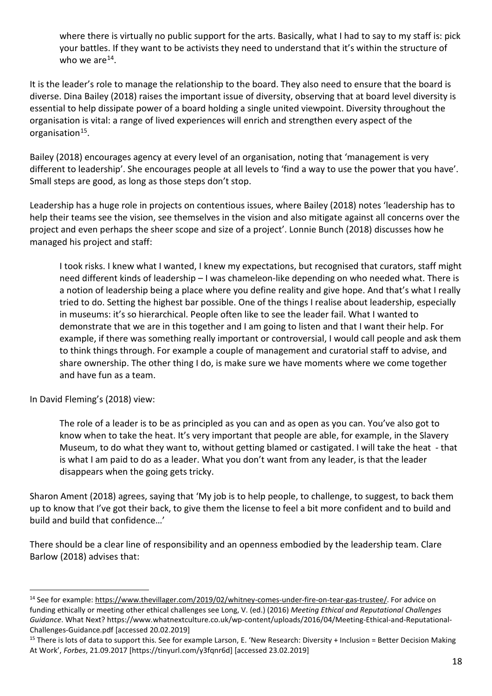where there is virtually no public support for the arts. Basically, what I had to say to my staff is: pick your battles. If they want to be activists they need to understand that it's within the structure of who we are  $14$ .

It is the leader's role to manage the relationship to the board. They also need to ensure that the board is diverse. Dina Bailey (2018) raises the important issue of diversity, observing that at board level diversity is essential to help dissipate power of a board holding a single united viewpoint. Diversity throughout the organisation is vital: a range of lived experiences will enrich and strengthen every aspect of the organisation<sup>[15](#page-17-1)</sup>.

Bailey (2018) encourages agency at every level of an organisation, noting that 'management is very different to leadership'. She encourages people at all levels to 'find a way to use the power that you have'. Small steps are good, as long as those steps don't stop.

Leadership has a huge role in projects on contentious issues, where Bailey (2018) notes 'leadership has to help their teams see the vision, see themselves in the vision and also mitigate against all concerns over the project and even perhaps the sheer scope and size of a project'. Lonnie Bunch (2018) discusses how he managed his project and staff:

I took risks. I knew what I wanted, I knew my expectations, but recognised that curators, staff might need different kinds of leadership – I was chameleon-like depending on who needed what. There is a notion of leadership being a place where you define reality and give hope. And that's what I really tried to do. Setting the highest bar possible. One of the things I realise about leadership, especially in museums: it's so hierarchical. People often like to see the leader fail. What I wanted to demonstrate that we are in this together and I am going to listen and that I want their help. For example, if there was something really important or controversial, I would call people and ask them to think things through. For example a couple of management and curatorial staff to advise, and share ownership. The other thing I do, is make sure we have moments where we come together and have fun as a team.

In David Fleming's (2018) view:

The role of a leader is to be as principled as you can and as open as you can. You've also got to know when to take the heat. It's very important that people are able, for example, in the Slavery Museum, to do what they want to, without getting blamed or castigated. I will take the heat - that is what I am paid to do as a leader. What you don't want from any leader, is that the leader disappears when the going gets tricky.

Sharon Ament (2018) agrees, saying that 'My job is to help people, to challenge, to suggest, to back them up to know that I've got their back, to give them the license to feel a bit more confident and to build and build and build that confidence…'

There should be a clear line of responsibility and an openness embodied by the leadership team. Clare Barlow (2018) advises that:

<span id="page-17-0"></span><sup>&</sup>lt;sup>14</sup> See for example: [https://www.thevillager.com/2019/02/whitney-comes-under-fire-on-tear-gas-trustee/.](https://www.thevillager.com/2019/02/whitney-comes-under-fire-on-tear-gas-trustee/) For advice on funding ethically or meeting other ethical challenges see Long, V. (ed.) (2016) *Meeting Ethical and Reputational Challenges Guidance*. What Next[? https://www.whatnextculture.co.uk/wp-content/uploads/2016/04/Meeting-Ethical-and-Reputational-](https://www.whatnextculture.co.uk/wp-content/uploads/2016/04/Meeting-Ethical-and-Reputational-Challenges-Guidance.pdf)[Challenges-Guidance.pdf](https://www.whatnextculture.co.uk/wp-content/uploads/2016/04/Meeting-Ethical-and-Reputational-Challenges-Guidance.pdf) [accessed 20.02.2019]

<span id="page-17-1"></span><sup>&</sup>lt;sup>15</sup> There is lots of data to support this. See for example Larson, E. 'New Research: Diversity + Inclusion = Better Decision Making At Work', *Forbes*, 21.09.2017 [https://tinyurl.com/y3fqnr6d] [accessed 23.02.2019]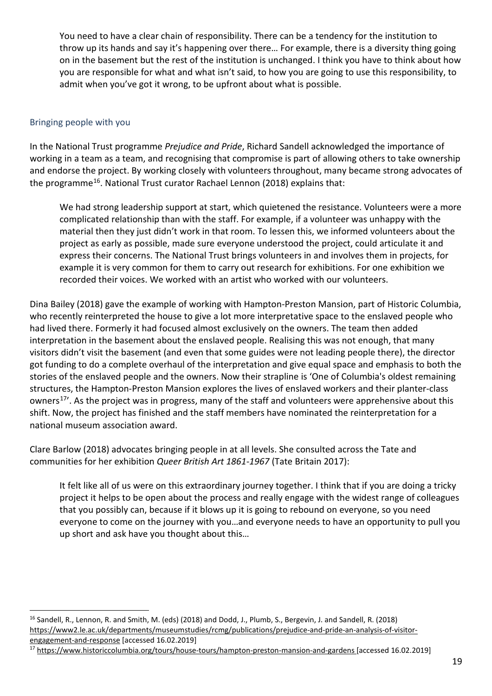You need to have a clear chain of responsibility. There can be a tendency for the institution to throw up its hands and say it's happening over there… For example, there is a diversity thing going on in the basement but the rest of the institution is unchanged. I think you have to think about how you are responsible for what and what isn't said, to how you are going to use this responsibility, to admit when you've got it wrong, to be upfront about what is possible.

#### <span id="page-18-0"></span>Bringing people with you

In the National Trust programme *Prejudice and Pride*, Richard Sandell acknowledged the importance of working in a team as a team, and recognising that compromise is part of allowing others to take ownership and endorse the project. By working closely with volunteers throughout, many became strong advocates of the programme<sup>[16](#page-18-1)</sup>. National Trust curator Rachael Lennon (2018) explains that:

We had strong leadership support at start, which quietened the resistance. Volunteers were a more complicated relationship than with the staff. For example, if a volunteer was unhappy with the material then they just didn't work in that room. To lessen this, we informed volunteers about the project as early as possible, made sure everyone understood the project, could articulate it and express their concerns. The National Trust brings volunteers in and involves them in projects, for example it is very common for them to carry out research for exhibitions. For one exhibition we recorded their voices. We worked with an artist who worked with our volunteers.

Dina Bailey (2018) gave the example of working with Hampton-Preston Mansion, part of Historic Columbia, who recently reinterpreted the house to give a lot more interpretative space to the enslaved people who had lived there. Formerly it had focused almost exclusively on the owners. The team then added interpretation in the basement about the enslaved people. Realising this was not enough, that many visitors didn't visit the basement (and even that some guides were not leading people there), the director got funding to do a complete overhaul of the interpretation and give equal space and emphasis to both the stories of the enslaved people and the owners. Now their strapline is 'One of Columbia's oldest remaining structures, the Hampton-Preston Mansion explores the lives of enslaved workers and their planter-class owners<sup>[17'](#page-18-2)</sup>. As the project was in progress, many of the staff and volunteers were apprehensive about this shift. Now, the project has finished and the staff members have nominated the reinterpretation for a national museum association award.

Clare Barlow (2018) advocates bringing people in at all levels. She consulted across the Tate and communities for her exhibition *Queer British Art 1861-1967* (Tate Britain 2017):

It felt like all of us were on this extraordinary journey together. I think that if you are doing a tricky project it helps to be open about the process and really engage with the widest range of colleagues that you possibly can, because if it blows up it is going to rebound on everyone, so you need everyone to come on the journey with you…and everyone needs to have an opportunity to pull you up short and ask have you thought about this…

<span id="page-18-1"></span><sup>&</sup>lt;sup>16</sup> Sandell, R., Lennon, R. and Smith, M. (eds) (2018) and Dodd, J., Plumb, S., Bergevin, J. and Sandell, R. (2018) [https://www2.le.ac.uk/departments/museumstudies/rcmg/publications/prejudice-and-pride-an-analysis-of-visitor](https://www2.le.ac.uk/departments/museumstudies/rcmg/publications/prejudice-and-pride-an-analysis-of-visitor-engagement-and-response)[engagement-and-response](https://www2.le.ac.uk/departments/museumstudies/rcmg/publications/prejudice-and-pride-an-analysis-of-visitor-engagement-and-response) [accessed 16.02.2019]

<span id="page-18-2"></span><sup>&</sup>lt;sup>17</sup> <https://www.historiccolumbia.org/tours/house-tours/hampton-preston-mansion-and-gardens> [accessed 16.02.2019]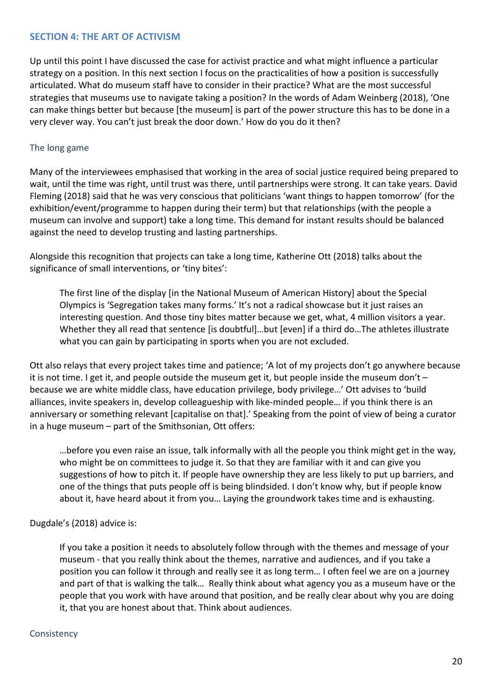#### <span id="page-19-0"></span>**SECTION 4: THE ART OF ACTIVISM**

Up until this point I have discussed the case for activist practice and what might influence a particular strategy on a position. In this next section I focus on the practicalities of how a position is successfully articulated. What do museum staff have to consider in their practice? What are the most successful strategies that museums use to navigate taking a position? In the words of Adam Weinberg (2018), 'One can make things better but because [the museum] is part of the power structure this has to be done in a very clever way. You can't just break the door down.' How do you do it then?

#### <span id="page-19-1"></span>The long game

Many of the interviewees emphasised that working in the area of social justice required being prepared to wait, until the time was right, until trust was there, until partnerships were strong. It can take years. David Fleming (2018) said that he was very conscious that politicians 'want things to happen tomorrow' (for the exhibition/event/programme to happen during their term) but that relationships (with the people a museum can involve and support) take a long time. This demand for instant results should be balanced against the need to develop trusting and lasting partnerships.

Alongside this recognition that projects can take a long time, Katherine Ott (2018) talks about the significance of small interventions, or 'tiny bites':

The first line of the display [in the National Museum of American History] about the Special Olympics is 'Segregation takes many forms.' It's not a radical showcase but it just raises an interesting question. And those tiny bites matter because we get, what, 4 million visitors a year. Whether they all read that sentence [is doubtful]…but [even] if a third do…The athletes illustrate what you can gain by participating in sports when you are not excluded.

Ott also relays that every project takes time and patience; 'A lot of my projects don't go anywhere because it is not time. I get it, and people outside the museum get it, but people inside the museum don't – because we are white middle class, have education privilege, body privilege…' Ott advises to 'build alliances, invite speakers in, develop colleagueship with like-minded people… if you think there is an anniversary or something relevant [capitalise on that].' Speaking from the point of view of being a curator in a huge museum – part of the Smithsonian, Ott offers:

…before you even raise an issue, talk informally with all the people you think might get in the way, who might be on committees to judge it. So that they are familiar with it and can give you suggestions of how to pitch it. If people have ownership they are less likely to put up barriers, and one of the things that puts people off is being blindsided. I don't know why, but if people know about it, have heard about it from you… Laying the groundwork takes time and is exhausting.

#### Dugdale's (2018) advice is:

If you take a position it needs to absolutely follow through with the themes and message of your museum - that you really think about the themes, narrative and audiences, and if you take a position you can follow it through and really see it as long term… I often feel we are on a journey and part of that is walking the talk… Really think about what agency you as a museum have or the people that you work with have around that position, and be really clear about why you are doing it, that you are honest about that. Think about audiences.

#### <span id="page-19-2"></span>**Consistency**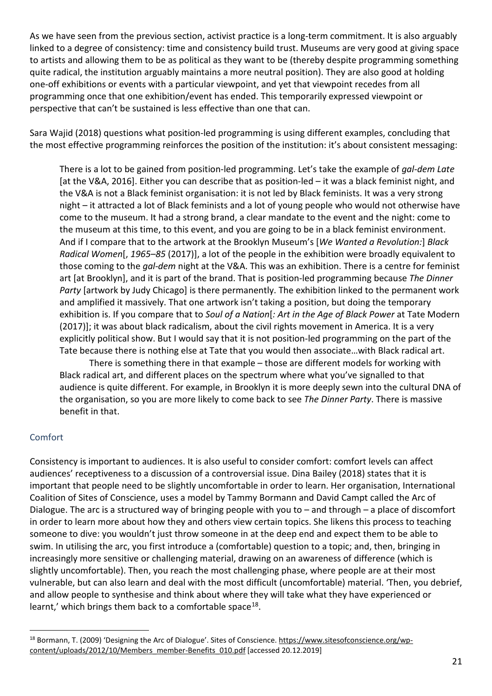As we have seen from the previous section, activist practice is a long-term commitment. It is also arguably linked to a degree of consistency: time and consistency build trust. Museums are very good at giving space to artists and allowing them to be as political as they want to be (thereby despite programming something quite radical, the institution arguably maintains a more neutral position). They are also good at holding one-off exhibitions or events with a particular viewpoint, and yet that viewpoint recedes from all programming once that one exhibition/event has ended. This temporarily expressed viewpoint or perspective that can't be sustained is less effective than one that can.

Sara Wajid (2018) questions what position-led programming is using different examples, concluding that the most effective programming reinforces the position of the institution: it's about consistent messaging:

There is a lot to be gained from position-led programming. Let's take the example of *gal-dem Late* [at the V&A, 2016]. Either you can describe that as position-led – it was a black feminist night, and the V&A is not a Black feminist organisation: it is not led by Black feminists. It was a very strong night – it attracted a lot of Black feminists and a lot of young people who would not otherwise have come to the museum. It had a strong brand, a clear mandate to the event and the night: come to the museum at this time, to this event, and you are going to be in a black feminist environment. And if I compare that to the artwork at the Brooklyn Museum's [*We Wanted a Revolution:*] *Black Radical Women*[, *1965–85* (2017)], a lot of the people in the exhibition were broadly equivalent to those coming to the *gal-dem* night at the V&A. This was an exhibition. There is a centre for feminist art [at Brooklyn], and it is part of the brand. That is position-led programming because *The Dinner Party* [artwork by Judy Chicago] is there permanently. The exhibition linked to the permanent work and amplified it massively. That one artwork isn't taking a position, but doing the temporary exhibition is. If you compare that to *Soul of a Nation*[*: Art in the Age of Black Power* at Tate Modern (2017)]; it was about black radicalism, about the civil rights movement in America. It is a very explicitly political show. But I would say that it is not position-led programming on the part of the Tate because there is nothing else at Tate that you would then associate…with Black radical art.

There is something there in that example – those are different models for working with Black radical art, and different places on the spectrum where what you've signalled to that audience is quite different. For example, in Brooklyn it is more deeply sewn into the cultural DNA of the organisation, so you are more likely to come back to see *The Dinner Party*. There is massive benefit in that.

## <span id="page-20-0"></span>Comfort

Consistency is important to audiences. It is also useful to consider comfort: comfort levels can affect audiences' receptiveness to a discussion of a controversial issue. Dina Bailey (2018) states that it is important that people need to be slightly uncomfortable in order to learn. Her organisation, International Coalition of Sites of Conscience, uses a model by Tammy Bormann and David Campt called the Arc of Dialogue. The arc is a structured way of bringing people with you to – and through – a place of discomfort in order to learn more about how they and others view certain topics. She likens this process to teaching someone to dive: you wouldn't just throw someone in at the deep end and expect them to be able to swim. In utilising the arc, you first introduce a (comfortable) question to a topic; and, then, bringing in increasingly more sensitive or challenging material, drawing on an awareness of difference (which is slightly uncomfortable). Then, you reach the most challenging phase, where people are at their most vulnerable, but can also learn and deal with the most difficult (uncomfortable) material. 'Then, you debrief, and allow people to synthesise and think about where they will take what they have experienced or learnt,' which brings them back to a comfortable space<sup>18</sup>.

<span id="page-20-1"></span><sup>&</sup>lt;sup>18</sup> Bormann, T. (2009) 'Designing the Arc of Dialogue'. Sites of Conscience. [https://www.sitesofconscience.org/wp](https://www.sitesofconscience.org/wp-content/uploads/2012/10/Members_member-Benefits_010.pdf)[content/uploads/2012/10/Members\\_member-Benefits\\_010.pdf](https://www.sitesofconscience.org/wp-content/uploads/2012/10/Members_member-Benefits_010.pdf) [accessed 20.12.2019]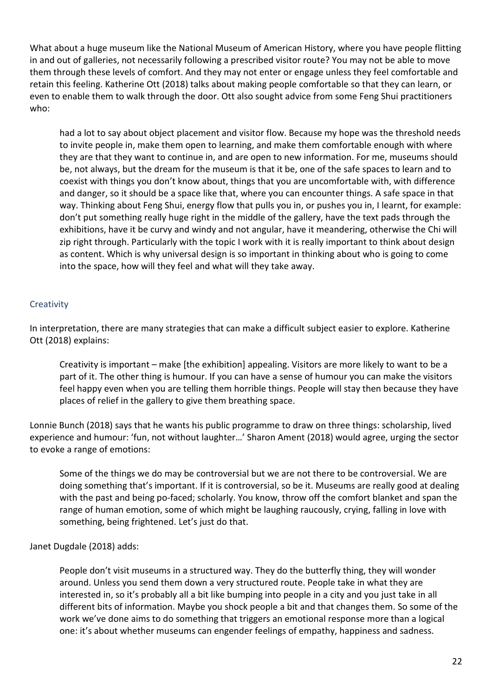What about a huge museum like the National Museum of American History, where you have people flitting in and out of galleries, not necessarily following a prescribed visitor route? You may not be able to move them through these levels of comfort. And they may not enter or engage unless they feel comfortable and retain this feeling. Katherine Ott (2018) talks about making people comfortable so that they can learn, or even to enable them to walk through the door. Ott also sought advice from some Feng Shui practitioners who:

had a lot to say about object placement and visitor flow. Because my hope was the threshold needs to invite people in, make them open to learning, and make them comfortable enough with where they are that they want to continue in, and are open to new information. For me, museums should be, not always, but the dream for the museum is that it be, one of the safe spaces to learn and to coexist with things you don't know about, things that you are uncomfortable with, with difference and danger, so it should be a space like that, where you can encounter things. A safe space in that way. Thinking about Feng Shui, energy flow that pulls you in, or pushes you in, I learnt, for example: don't put something really huge right in the middle of the gallery, have the text pads through the exhibitions, have it be curvy and windy and not angular, have it meandering, otherwise the Chi will zip right through. Particularly with the topic I work with it is really important to think about design as content. Which is why universal design is so important in thinking about who is going to come into the space, how will they feel and what will they take away.

## <span id="page-21-0"></span>**Creativity**

In interpretation, there are many strategies that can make a difficult subject easier to explore. Katherine Ott (2018) explains:

Creativity is important – make [the exhibition] appealing. Visitors are more likely to want to be a part of it. The other thing is humour. If you can have a sense of humour you can make the visitors feel happy even when you are telling them horrible things. People will stay then because they have places of relief in the gallery to give them breathing space.

Lonnie Bunch (2018) says that he wants his public programme to draw on three things: scholarship, lived experience and humour: 'fun, not without laughter…' Sharon Ament (2018) would agree, urging the sector to evoke a range of emotions:

Some of the things we do may be controversial but we are not there to be controversial. We are doing something that's important. If it is controversial, so be it. Museums are really good at dealing with the past and being po-faced; scholarly. You know, throw off the comfort blanket and span the range of human emotion, some of which might be laughing raucously, crying, falling in love with something, being frightened. Let's just do that.

## Janet Dugdale (2018) adds:

People don't visit museums in a structured way. They do the butterfly thing, they will wonder around. Unless you send them down a very structured route. People take in what they are interested in, so it's probably all a bit like bumping into people in a city and you just take in all different bits of information. Maybe you shock people a bit and that changes them. So some of the work we've done aims to do something that triggers an emotional response more than a logical one: it's about whether museums can engender feelings of empathy, happiness and sadness.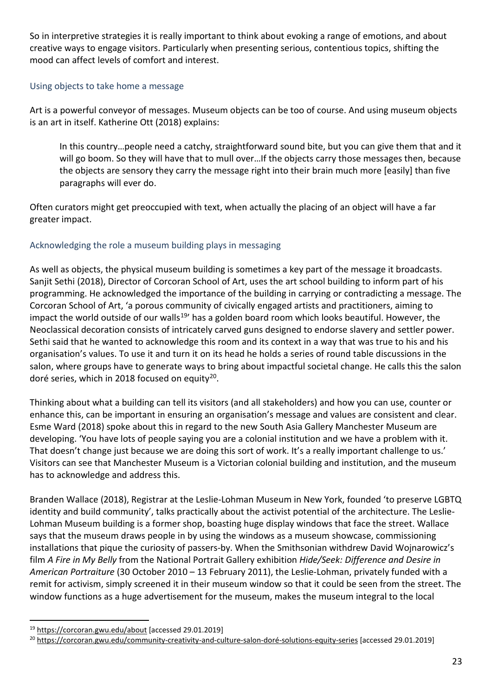So in interpretive strategies it is really important to think about evoking a range of emotions, and about creative ways to engage visitors. Particularly when presenting serious, contentious topics, shifting the mood can affect levels of comfort and interest.

# <span id="page-22-0"></span>Using objects to take home a message

Art is a powerful conveyor of messages. Museum objects can be too of course. And using museum objects is an art in itself. Katherine Ott (2018) explains:

In this country…people need a catchy, straightforward sound bite, but you can give them that and it will go boom. So they will have that to mull over…If the objects carry those messages then, because the objects are sensory they carry the message right into their brain much more [easily] than five paragraphs will ever do.

Often curators might get preoccupied with text, when actually the placing of an object will have a far greater impact.

# <span id="page-22-1"></span>Acknowledging the role a museum building plays in messaging

As well as objects, the physical museum building is sometimes a key part of the message it broadcasts. Sanjit Sethi (2018), Director of Corcoran School of Art, uses the art school building to inform part of his programming. He acknowledged the importance of the building in carrying or contradicting a message. The Corcoran School of Art, 'a porous community of civically engaged artists and practitioners, aiming to impact the world outside of our walls<sup>19</sup>' has a golden board room which looks beautiful. However, the Neoclassical decoration consists of intricately carved guns designed to endorse slavery and settler power. Sethi said that he wanted to acknowledge this room and its context in a way that was true to his and his organisation's values. To use it and turn it on its head he holds a series of round table discussions in the salon, where groups have to generate ways to bring about impactful societal change. He calls this the salon doré series, which in 2018 focused on equity $^{20}$ .

Thinking about what a building can tell its visitors (and all stakeholders) and how you can use, counter or enhance this, can be important in ensuring an organisation's message and values are consistent and clear. Esme Ward (2018) spoke about this in regard to the new South Asia Gallery Manchester Museum are developing. 'You have lots of people saying you are a colonial institution and we have a problem with it. That doesn't change just because we are doing this sort of work. It's a really important challenge to us.' Visitors can see that Manchester Museum is a Victorian colonial building and institution, and the museum has to acknowledge and address this.

Branden Wallace (2018), Registrar at the Leslie-Lohman Museum in New York, founded 'to preserve LGBTQ identity and build community', talks practically about the activist potential of the architecture. The Leslie-Lohman Museum building is a former shop, boasting huge display windows that face the street. Wallace says that the museum draws people in by using the windows as a museum showcase, commissioning installations that pique the curiosity of passers-by. When the Smithsonian withdrew David Wojnarowicz's film *A Fire in My Belly* from the National Portrait Gallery exhibition *Hide/Seek: Difference and Desire in American Portraiture* (30 October 2010 – 13 February 2011), the Leslie-Lohman, privately funded with a remit for activism, simply screened it in their museum window so that it could be seen from the street. The window functions as a huge advertisement for the museum, makes the museum integral to the local

<span id="page-22-2"></span><sup>19</sup> <https://corcoran.gwu.edu/about> [accessed 29.01.2019]

<span id="page-22-3"></span><sup>&</sup>lt;sup>20</sup> [https://corcoran.gwu.edu/community-creativity-and-culture-salon-doré-solutions-equity-series](https://corcoran.gwu.edu/community-creativity-and-culture-salon-dor%C3%A9-solutions-equity-series) [accessed 29.01.2019]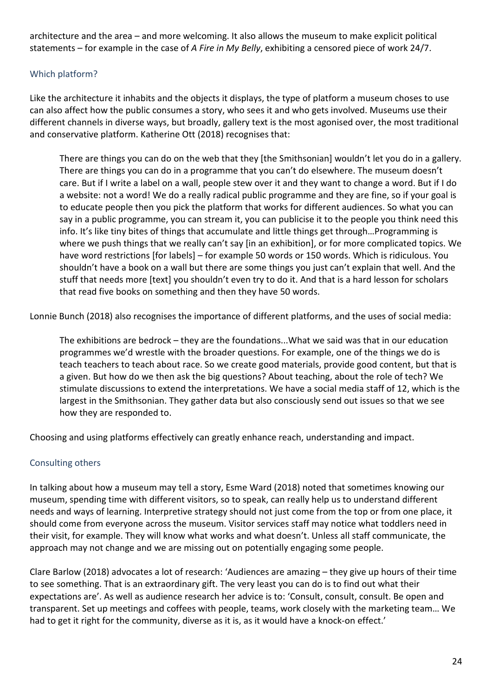architecture and the area – and more welcoming. It also allows the museum to make explicit political statements – for example in the case of *A Fire in My Belly*, exhibiting a censored piece of work 24/7.

# <span id="page-23-0"></span>Which platform?

Like the architecture it inhabits and the objects it displays, the type of platform a museum choses to use can also affect how the public consumes a story, who sees it and who gets involved. Museums use their different channels in diverse ways, but broadly, gallery text is the most agonised over, the most traditional and conservative platform. Katherine Ott (2018) recognises that:

There are things you can do on the web that they [the Smithsonian] wouldn't let you do in a gallery. There are things you can do in a programme that you can't do elsewhere. The museum doesn't care. But if I write a label on a wall, people stew over it and they want to change a word. But if I do a website: not a word! We do a really radical public programme and they are fine, so if your goal is to educate people then you pick the platform that works for different audiences. So what you can say in a public programme, you can stream it, you can publicise it to the people you think need this info. It's like tiny bites of things that accumulate and little things get through…Programming is where we push things that we really can't say [in an exhibition], or for more complicated topics. We have word restrictions [for labels] – for example 50 words or 150 words. Which is ridiculous. You shouldn't have a book on a wall but there are some things you just can't explain that well. And the stuff that needs more [text] you shouldn't even try to do it. And that is a hard lesson for scholars that read five books on something and then they have 50 words.

Lonnie Bunch (2018) also recognises the importance of different platforms, and the uses of social media:

The exhibitions are bedrock – they are the foundations...What we said was that in our education programmes we'd wrestle with the broader questions. For example, one of the things we do is teach teachers to teach about race. So we create good materials, provide good content, but that is a given. But how do we then ask the big questions? About teaching, about the role of tech? We stimulate discussions to extend the interpretations. We have a social media staff of 12, which is the largest in the Smithsonian. They gather data but also consciously send out issues so that we see how they are responded to.

Choosing and using platforms effectively can greatly enhance reach, understanding and impact.

## <span id="page-23-1"></span>Consulting others

In talking about how a museum may tell a story, Esme Ward (2018) noted that sometimes knowing our museum, spending time with different visitors, so to speak, can really help us to understand different needs and ways of learning. Interpretive strategy should not just come from the top or from one place, it should come from everyone across the museum. Visitor services staff may notice what toddlers need in their visit, for example. They will know what works and what doesn't. Unless all staff communicate, the approach may not change and we are missing out on potentially engaging some people.

Clare Barlow (2018) advocates a lot of research: 'Audiences are amazing – they give up hours of their time to see something. That is an extraordinary gift. The very least you can do is to find out what their expectations are'. As well as audience research her advice is to: 'Consult, consult, consult. Be open and transparent. Set up meetings and coffees with people, teams, work closely with the marketing team… We had to get it right for the community, diverse as it is, as it would have a knock-on effect.'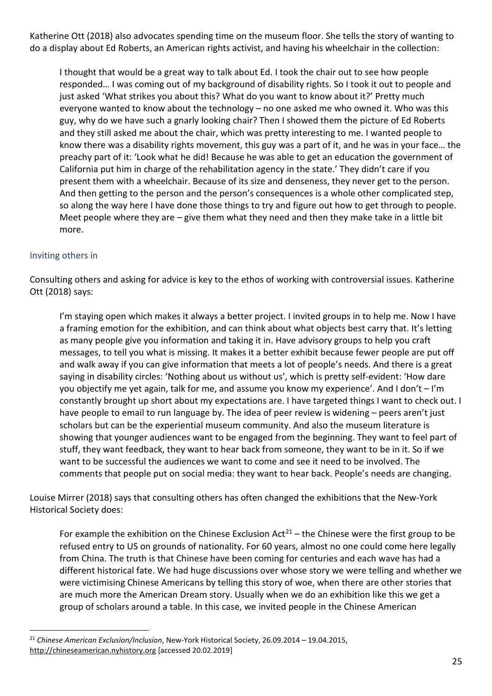Katherine Ott (2018) also advocates spending time on the museum floor. She tells the story of wanting to do a display about Ed Roberts, an American rights activist, and having his wheelchair in the collection:

I thought that would be a great way to talk about Ed. I took the chair out to see how people responded… I was coming out of my background of disability rights. So I took it out to people and just asked 'What strikes you about this? What do you want to know about it?' Pretty much everyone wanted to know about the technology – no one asked me who owned it. Who was this guy, why do we have such a gnarly looking chair? Then I showed them the picture of Ed Roberts and they still asked me about the chair, which was pretty interesting to me. I wanted people to know there was a disability rights movement, this guy was a part of it, and he was in your face… the preachy part of it: 'Look what he did! Because he was able to get an education the government of California put him in charge of the rehabilitation agency in the state.' They didn't care if you present them with a wheelchair. Because of its size and denseness, they never get to the person. And then getting to the person and the person's consequences is a whole other complicated step, so along the way here I have done those things to try and figure out how to get through to people. Meet people where they are  $-g$  ive them what they need and then they make take in a little bit more.

## <span id="page-24-0"></span>Inviting others in

Consulting others and asking for advice is key to the ethos of working with controversial issues. Katherine Ott (2018) says:

I'm staying open which makes it always a better project. I invited groups in to help me. Now I have a framing emotion for the exhibition, and can think about what objects best carry that. It's letting as many people give you information and taking it in. Have advisory groups to help you craft messages, to tell you what is missing. It makes it a better exhibit because fewer people are put off and walk away if you can give information that meets a lot of people's needs. And there is a great saying in disability circles: 'Nothing about us without us', which is pretty self-evident: 'How dare you objectify me yet again, talk for me, and assume you know my experience'. And I don't – I'm constantly brought up short about my expectations are. I have targeted things I want to check out. I have people to email to run language by. The idea of peer review is widening – peers aren't just scholars but can be the experiential museum community. And also the museum literature is showing that younger audiences want to be engaged from the beginning. They want to feel part of stuff, they want feedback, they want to hear back from someone, they want to be in it. So if we want to be successful the audiences we want to come and see it need to be involved. The comments that people put on social media: they want to hear back. People's needs are changing.

Louise Mirrer (2018) says that consulting others has often changed the exhibitions that the New-York Historical Society does:

For example the exhibition on the Chinese Exclusion Act<sup>[21](#page-24-1)</sup> – the Chinese were the first group to be refused entry to US on grounds of nationality. For 60 years, almost no one could come here legally from China. The truth is that Chinese have been coming for centuries and each wave has had a different historical fate. We had huge discussions over whose story we were telling and whether we were victimising Chinese Americans by telling this story of woe, when there are other stories that are much more the American Dream story. Usually when we do an exhibition like this we get a group of scholars around a table. In this case, we invited people in the Chinese American

<span id="page-24-1"></span><sup>21</sup> *Chinese American Exclusion/Inclusion*, New-York Historical Society, 26.09.2014 – 19.04.2015, [http://chineseamerican.nyhistory.org](http://chineseamerican.nyhistory.org/) [accessed 20.02.2019]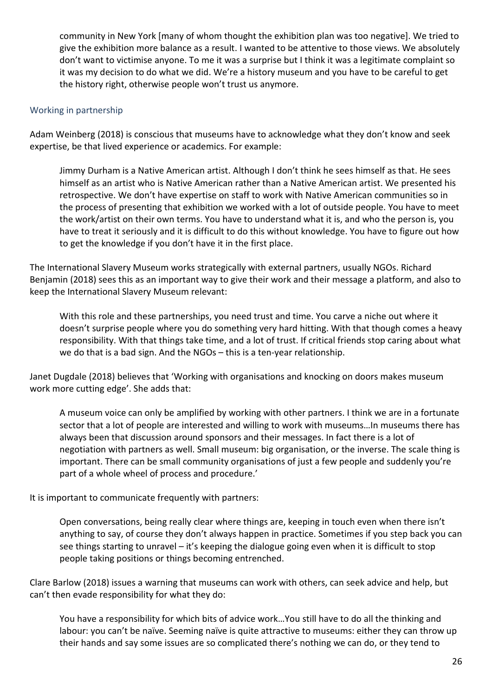community in New York [many of whom thought the exhibition plan was too negative]. We tried to give the exhibition more balance as a result. I wanted to be attentive to those views. We absolutely don't want to victimise anyone. To me it was a surprise but I think it was a legitimate complaint so it was my decision to do what we did. We're a history museum and you have to be careful to get the history right, otherwise people won't trust us anymore.

#### <span id="page-25-0"></span>Working in partnership

Adam Weinberg (2018) is conscious that museums have to acknowledge what they don't know and seek expertise, be that lived experience or academics. For example:

Jimmy Durham is a Native American artist. Although I don't think he sees himself as that. He sees himself as an artist who is Native American rather than a Native American artist. We presented his retrospective. We don't have expertise on staff to work with Native American communities so in the process of presenting that exhibition we worked with a lot of outside people. You have to meet the work/artist on their own terms. You have to understand what it is, and who the person is, you have to treat it seriously and it is difficult to do this without knowledge. You have to figure out how to get the knowledge if you don't have it in the first place.

The International Slavery Museum works strategically with external partners, usually NGOs. Richard Benjamin (2018) sees this as an important way to give their work and their message a platform, and also to keep the International Slavery Museum relevant:

With this role and these partnerships, you need trust and time. You carve a niche out where it doesn't surprise people where you do something very hard hitting. With that though comes a heavy responsibility. With that things take time, and a lot of trust. If critical friends stop caring about what we do that is a bad sign. And the NGOs – this is a ten-year relationship.

Janet Dugdale (2018) believes that 'Working with organisations and knocking on doors makes museum work more cutting edge'. She adds that:

A museum voice can only be amplified by working with other partners. I think we are in a fortunate sector that a lot of people are interested and willing to work with museums…In museums there has always been that discussion around sponsors and their messages. In fact there is a lot of negotiation with partners as well. Small museum: big organisation, or the inverse. The scale thing is important. There can be small community organisations of just a few people and suddenly you're part of a whole wheel of process and procedure.'

#### It is important to communicate frequently with partners:

Open conversations, being really clear where things are, keeping in touch even when there isn't anything to say, of course they don't always happen in practice. Sometimes if you step back you can see things starting to unravel – it's keeping the dialogue going even when it is difficult to stop people taking positions or things becoming entrenched.

Clare Barlow (2018) issues a warning that museums can work with others, can seek advice and help, but can't then evade responsibility for what they do:

You have a responsibility for which bits of advice work…You still have to do all the thinking and labour: you can't be naïve. Seeming naïve is quite attractive to museums: either they can throw up their hands and say some issues are so complicated there's nothing we can do, or they tend to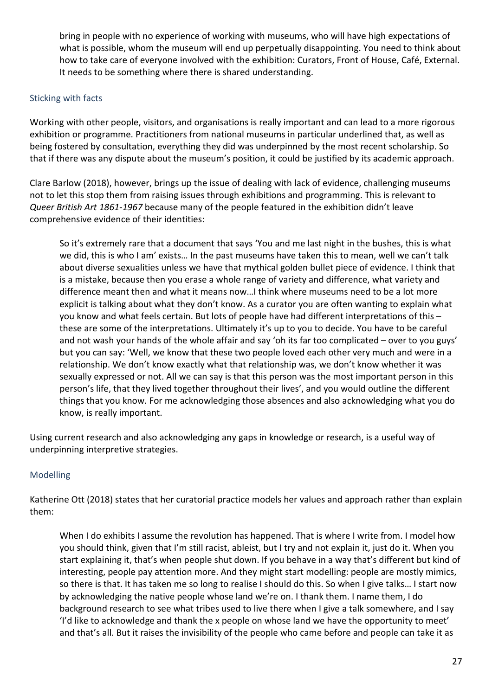bring in people with no experience of working with museums, who will have high expectations of what is possible, whom the museum will end up perpetually disappointing. You need to think about how to take care of everyone involved with the exhibition: Curators, Front of House, Café, External. It needs to be something where there is shared understanding.

#### <span id="page-26-0"></span>Sticking with facts

Working with other people, visitors, and organisations is really important and can lead to a more rigorous exhibition or programme. Practitioners from national museums in particular underlined that, as well as being fostered by consultation, everything they did was underpinned by the most recent scholarship. So that if there was any dispute about the museum's position, it could be justified by its academic approach.

Clare Barlow (2018), however, brings up the issue of dealing with lack of evidence, challenging museums not to let this stop them from raising issues through exhibitions and programming. This is relevant to *Queer British Art 1861-1967* because many of the people featured in the exhibition didn't leave comprehensive evidence of their identities:

So it's extremely rare that a document that says 'You and me last night in the bushes, this is what we did, this is who I am' exists… In the past museums have taken this to mean, well we can't talk about diverse sexualities unless we have that mythical golden bullet piece of evidence. I think that is a mistake, because then you erase a whole range of variety and difference, what variety and difference meant then and what it means now…I think where museums need to be a lot more explicit is talking about what they don't know. As a curator you are often wanting to explain what you know and what feels certain. But lots of people have had different interpretations of this – these are some of the interpretations. Ultimately it's up to you to decide. You have to be careful and not wash your hands of the whole affair and say 'oh its far too complicated – over to you guys' but you can say: 'Well, we know that these two people loved each other very much and were in a relationship. We don't know exactly what that relationship was, we don't know whether it was sexually expressed or not. All we can say is that this person was the most important person in this person's life, that they lived together throughout their lives', and you would outline the different things that you know. For me acknowledging those absences and also acknowledging what you do know, is really important.

Using current research and also acknowledging any gaps in knowledge or research, is a useful way of underpinning interpretive strategies.

## <span id="page-26-1"></span>Modelling

Katherine Ott (2018) states that her curatorial practice models her values and approach rather than explain them:

When I do exhibits I assume the revolution has happened. That is where I write from. I model how you should think, given that I'm still racist, ableist, but I try and not explain it, just do it. When you start explaining it, that's when people shut down. If you behave in a way that's different but kind of interesting, people pay attention more. And they might start modelling: people are mostly mimics, so there is that. It has taken me so long to realise I should do this. So when I give talks… I start now by acknowledging the native people whose land we're on. I thank them. I name them, I do background research to see what tribes used to live there when I give a talk somewhere, and I say 'I'd like to acknowledge and thank the x people on whose land we have the opportunity to meet' and that's all. But it raises the invisibility of the people who came before and people can take it as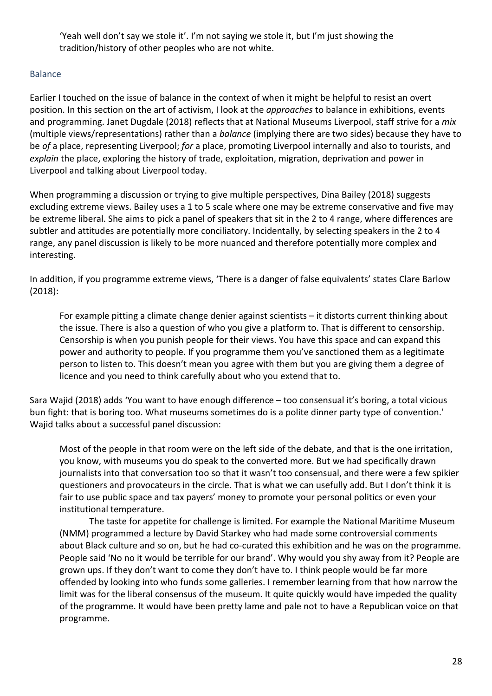'Yeah well don't say we stole it'. I'm not saying we stole it, but I'm just showing the tradition/history of other peoples who are not white.

## <span id="page-27-0"></span>Balance

Earlier I touched on the issue of balance in the context of when it might be helpful to resist an overt position. In this section on the art of activism, I look at the *approaches* to balance in exhibitions, events and programming. Janet Dugdale (2018) reflects that at National Museums Liverpool, staff strive for a *mix* (multiple views/representations) rather than a *balance* (implying there are two sides) because they have to be *of* a place, representing Liverpool; *for* a place, promoting Liverpool internally and also to tourists, and *explain* the place, exploring the history of trade, exploitation, migration, deprivation and power in Liverpool and talking about Liverpool today.

When programming a discussion or trying to give multiple perspectives, Dina Bailey (2018) suggests excluding extreme views. Bailey uses a 1 to 5 scale where one may be extreme conservative and five may be extreme liberal. She aims to pick a panel of speakers that sit in the 2 to 4 range, where differences are subtler and attitudes are potentially more conciliatory. Incidentally, by selecting speakers in the 2 to 4 range, any panel discussion is likely to be more nuanced and therefore potentially more complex and interesting.

In addition, if you programme extreme views, 'There is a danger of false equivalents' states Clare Barlow (2018):

For example pitting a climate change denier against scientists – it distorts current thinking about the issue. There is also a question of who you give a platform to. That is different to censorship. Censorship is when you punish people for their views. You have this space and can expand this power and authority to people. If you programme them you've sanctioned them as a legitimate person to listen to. This doesn't mean you agree with them but you are giving them a degree of licence and you need to think carefully about who you extend that to.

Sara Wajid (2018) adds 'You want to have enough difference – too consensual it's boring, a total vicious bun fight: that is boring too. What museums sometimes do is a polite dinner party type of convention.' Wajid talks about a successful panel discussion:

Most of the people in that room were on the left side of the debate, and that is the one irritation, you know, with museums you do speak to the converted more. But we had specifically drawn journalists into that conversation too so that it wasn't too consensual, and there were a few spikier questioners and provocateurs in the circle. That is what we can usefully add. But I don't think it is fair to use public space and tax payers' money to promote your personal politics or even your institutional temperature.

The taste for appetite for challenge is limited. For example the National Maritime Museum (NMM) programmed a lecture by David Starkey who had made some controversial comments about Black culture and so on, but he had co-curated this exhibition and he was on the programme. People said 'No no it would be terrible for our brand'. Why would you shy away from it? People are grown ups. If they don't want to come they don't have to. I think people would be far more offended by looking into who funds some galleries. I remember learning from that how narrow the limit was for the liberal consensus of the museum. It quite quickly would have impeded the quality of the programme. It would have been pretty lame and pale not to have a Republican voice on that programme.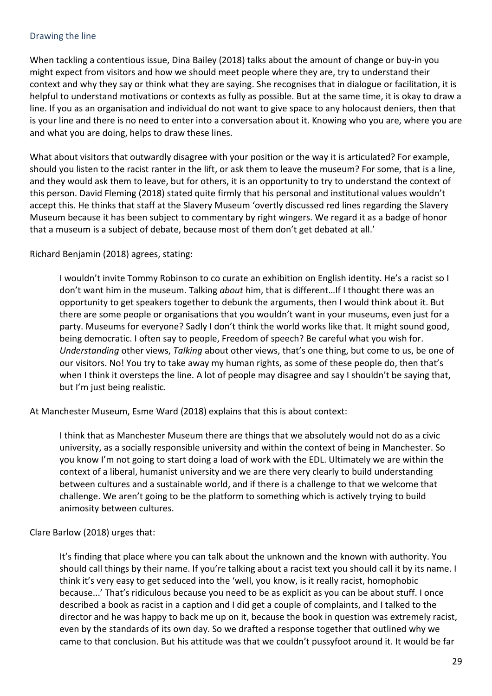#### <span id="page-28-0"></span>Drawing the line

When tackling a contentious issue, Dina Bailey (2018) talks about the amount of change or buy-in you might expect from visitors and how we should meet people where they are, try to understand their context and why they say or think what they are saying. She recognises that in dialogue or facilitation, it is helpful to understand motivations or contexts as fully as possible. But at the same time, it is okay to draw a line. If you as an organisation and individual do not want to give space to any holocaust deniers, then that is your line and there is no need to enter into a conversation about it. Knowing who you are, where you are and what you are doing, helps to draw these lines.

What about visitors that outwardly disagree with your position or the way it is articulated? For example, should you listen to the racist ranter in the lift, or ask them to leave the museum? For some, that is a line, and they would ask them to leave, but for others, it is an opportunity to try to understand the context of this person. David Fleming (2018) stated quite firmly that his personal and institutional values wouldn't accept this. He thinks that staff at the Slavery Museum 'overtly discussed red lines regarding the Slavery Museum because it has been subject to commentary by right wingers. We regard it as a badge of honor that a museum is a subject of debate, because most of them don't get debated at all.'

Richard Benjamin (2018) agrees, stating:

I wouldn't invite Tommy Robinson to co curate an exhibition on English identity. He's a racist so I don't want him in the museum. Talking *about* him, that is different…If I thought there was an opportunity to get speakers together to debunk the arguments, then I would think about it. But there are some people or organisations that you wouldn't want in your museums, even just for a party. Museums for everyone? Sadly I don't think the world works like that. It might sound good, being democratic. I often say to people, Freedom of speech? Be careful what you wish for. *Understanding* other views, *Talking* about other views, that's one thing, but come to us, be one of our visitors. No! You try to take away my human rights, as some of these people do, then that's when I think it oversteps the line. A lot of people may disagree and say I shouldn't be saying that, but I'm just being realistic.

At Manchester Museum, Esme Ward (2018) explains that this is about context:

I think that as Manchester Museum there are things that we absolutely would not do as a civic university, as a socially responsible university and within the context of being in Manchester. So you know I'm not going to start doing a load of work with the EDL. Ultimately we are within the context of a liberal, humanist university and we are there very clearly to build understanding between cultures and a sustainable world, and if there is a challenge to that we welcome that challenge. We aren't going to be the platform to something which is actively trying to build animosity between cultures.

Clare Barlow (2018) urges that:

It's finding that place where you can talk about the unknown and the known with authority. You should call things by their name. If you're talking about a racist text you should call it by its name. I think it's very easy to get seduced into the 'well, you know, is it really racist, homophobic because...' That's ridiculous because you need to be as explicit as you can be about stuff. I once described a book as racist in a caption and I did get a couple of complaints, and I talked to the director and he was happy to back me up on it, because the book in question was extremely racist, even by the standards of its own day. So we drafted a response together that outlined why we came to that conclusion. But his attitude was that we couldn't pussyfoot around it. It would be far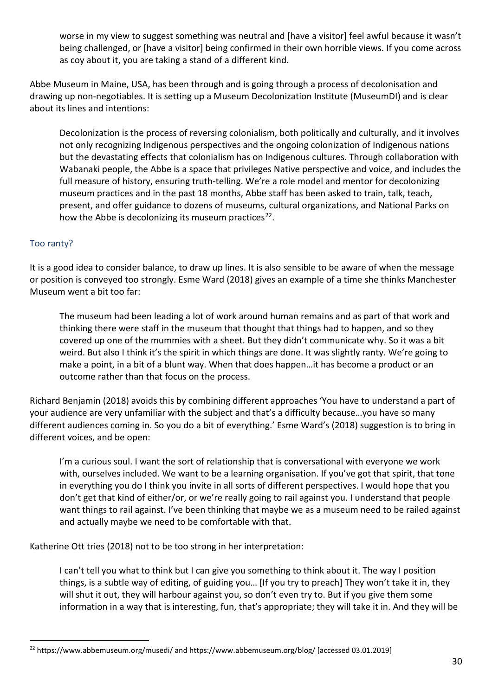worse in my view to suggest something was neutral and [have a visitor] feel awful because it wasn't being challenged, or [have a visitor] being confirmed in their own horrible views. If you come across as coy about it, you are taking a stand of a different kind.

Abbe Museum in Maine, USA, has been through and is going through a process of decolonisation and drawing up non-negotiables. It is setting up a Museum Decolonization Institute (MuseumDI) and is clear about its lines and intentions:

Decolonization is the process of reversing colonialism, both politically and culturally, and it involves not only recognizing Indigenous perspectives and the ongoing colonization of Indigenous nations but the devastating effects that colonialism has on Indigenous cultures. Through collaboration with Wabanaki people, the Abbe is a space that privileges Native perspective and voice, and includes the full measure of history, ensuring truth-telling. We're a role model and mentor for decolonizing museum practices and in the past 18 months, Abbe staff has been asked to train, talk, teach, present, and offer guidance to dozens of museums, cultural organizations, and National Parks on how the Abbe is decolonizing its museum practices<sup>[22](#page-29-1)</sup>.

# <span id="page-29-0"></span>Too ranty?

It is a good idea to consider balance, to draw up lines. It is also sensible to be aware of when the message or position is conveyed too strongly. Esme Ward (2018) gives an example of a time she thinks Manchester Museum went a bit too far:

The museum had been leading a lot of work around human remains and as part of that work and thinking there were staff in the museum that thought that things had to happen, and so they covered up one of the mummies with a sheet. But they didn't communicate why. So it was a bit weird. But also I think it's the spirit in which things are done. It was slightly ranty. We're going to make a point, in a bit of a blunt way. When that does happen…it has become a product or an outcome rather than that focus on the process.

Richard Benjamin (2018) avoids this by combining different approaches 'You have to understand a part of your audience are very unfamiliar with the subject and that's a difficulty because…you have so many different audiences coming in. So you do a bit of everything.' Esme Ward's (2018) suggestion is to bring in different voices, and be open:

I'm a curious soul. I want the sort of relationship that is conversational with everyone we work with, ourselves included. We want to be a learning organisation. If you've got that spirit, that tone in everything you do I think you invite in all sorts of different perspectives. I would hope that you don't get that kind of either/or, or we're really going to rail against you. I understand that people want things to rail against. I've been thinking that maybe we as a museum need to be railed against and actually maybe we need to be comfortable with that.

Katherine Ott tries (2018) not to be too strong in her interpretation:

I can't tell you what to think but I can give you something to think about it. The way I position things, is a subtle way of editing, of guiding you… [If you try to preach] They won't take it in, they will shut it out, they will harbour against you, so don't even try to. But if you give them some information in a way that is interesting, fun, that's appropriate; they will take it in. And they will be

<span id="page-29-1"></span><sup>&</sup>lt;sup>22</sup> <https://www.abbemuseum.org/musedi/> and<https://www.abbemuseum.org/blog/> [accessed 03.01.2019]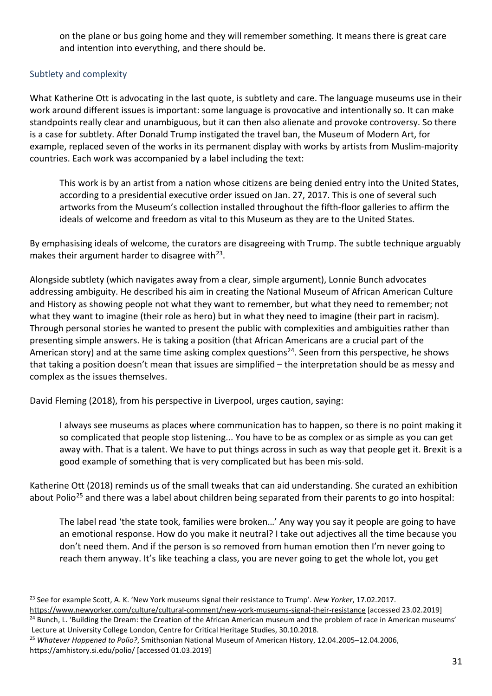on the plane or bus going home and they will remember something. It means there is great care and intention into everything, and there should be.

# <span id="page-30-0"></span>Subtlety and complexity

What Katherine Ott is advocating in the last quote, is subtlety and care. The language museums use in their work around different issues is important: some language is provocative and intentionally so. It can make standpoints really clear and unambiguous, but it can then also alienate and provoke controversy. So there is a case for subtlety. After Donald Trump instigated the travel ban, the Museum of Modern Art, for example, replaced seven of the works in its permanent display with works by artists from Muslim-majority countries. Each work was accompanied by a label including the text:

This work is by an artist from a nation whose citizens are being denied entry into the United States, according to a presidential executive order issued on Jan. 27, 2017. This is one of several such artworks from the Museum's collection installed throughout the fifth-floor galleries to affirm the ideals of welcome and freedom as vital to this Museum as they are to the United States.

By emphasising ideals of welcome, the curators are disagreeing with Trump. The subtle technique arguably makes their argument harder to disagree with $23$ .

Alongside subtlety (which navigates away from a clear, simple argument), Lonnie Bunch advocates addressing ambiguity. He described his aim in creating the National Museum of African American Culture and History as showing people not what they want to remember, but what they need to remember; not what they want to imagine (their role as hero) but in what they need to imagine (their part in racism). Through personal stories he wanted to present the public with complexities and ambiguities rather than presenting simple answers. He is taking a position (that African Americans are a crucial part of the American story) and at the same time asking complex questions<sup>24</sup>. Seen from this perspective, he shows that taking a position doesn't mean that issues are simplified – the interpretation should be as messy and complex as the issues themselves.

David Fleming (2018), from his perspective in Liverpool, urges caution, saying:

I always see museums as places where communication has to happen, so there is no point making it so complicated that people stop listening... You have to be as complex or as simple as you can get away with. That is a talent. We have to put things across in such as way that people get it. Brexit is a good example of something that is very complicated but has been mis-sold.

Katherine Ott (2018) reminds us of the small tweaks that can aid understanding. She curated an exhibition about Polio<sup>[25](#page-30-3)</sup> and there was a label about children being separated from their parents to go into hospital:

The label read 'the state took, families were broken…' Any way you say it people are going to have an emotional response. How do you make it neutral? I take out adjectives all the time because you don't need them. And if the person is so removed from human emotion then I'm never going to reach them anyway. It's like teaching a class, you are never going to get the whole lot, you get

<span id="page-30-1"></span><sup>23</sup> See for example Scott, A. K. 'New York museums signal their resistance to Trump'. *New Yorker*, 17.02.2017.

<span id="page-30-2"></span><https://www.newyorker.com/culture/cultural-comment/new-york-museums-signal-their-resistance> [accessed 23.02.2019] <sup>24</sup> Bunch, L. 'Building the Dream: the Creation of the African American museum and the problem of race in American museums' Lecture at University College London, Centre for Critical Heritage Studies, 30.10.2018.

<span id="page-30-3"></span><sup>25</sup> *Whatever Happened to Polio?*, Smithsonian National Museum of American History, 12.04.2005–12.04.2006, https://amhistory.si.edu/polio/ [accessed 01.03.2019]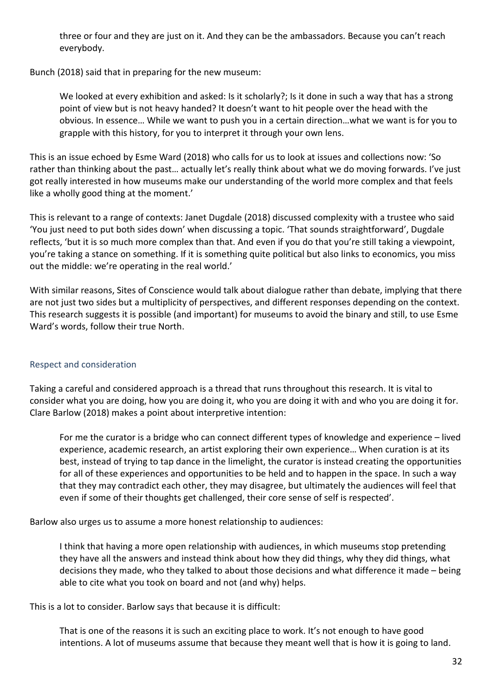three or four and they are just on it. And they can be the ambassadors. Because you can't reach everybody.

Bunch (2018) said that in preparing for the new museum:

We looked at every exhibition and asked: Is it scholarly?; Is it done in such a way that has a strong point of view but is not heavy handed? It doesn't want to hit people over the head with the obvious. In essence… While we want to push you in a certain direction…what we want is for you to grapple with this history, for you to interpret it through your own lens.

This is an issue echoed by Esme Ward (2018) who calls for us to look at issues and collections now: 'So rather than thinking about the past… actually let's really think about what we do moving forwards. I've just got really interested in how museums make our understanding of the world more complex and that feels like a wholly good thing at the moment.'

This is relevant to a range of contexts: Janet Dugdale (2018) discussed complexity with a trustee who said 'You just need to put both sides down' when discussing a topic. 'That sounds straightforward', Dugdale reflects, 'but it is so much more complex than that. And even if you do that you're still taking a viewpoint, you're taking a stance on something. If it is something quite political but also links to economics, you miss out the middle: we're operating in the real world.'

With similar reasons, Sites of Conscience would talk about dialogue rather than debate, implying that there are not just two sides but a multiplicity of perspectives, and different responses depending on the context. This research suggests it is possible (and important) for museums to avoid the binary and still, to use Esme Ward's words, follow their true North.

# <span id="page-31-0"></span>Respect and consideration

Taking a careful and considered approach is a thread that runs throughout this research. It is vital to consider what you are doing, how you are doing it, who you are doing it with and who you are doing it for. Clare Barlow (2018) makes a point about interpretive intention:

For me the curator is a bridge who can connect different types of knowledge and experience – lived experience, academic research, an artist exploring their own experience… When curation is at its best, instead of trying to tap dance in the limelight, the curator is instead creating the opportunities for all of these experiences and opportunities to be held and to happen in the space. In such a way that they may contradict each other, they may disagree, but ultimately the audiences will feel that even if some of their thoughts get challenged, their core sense of self is respected'.

Barlow also urges us to assume a more honest relationship to audiences:

I think that having a more open relationship with audiences, in which museums stop pretending they have all the answers and instead think about how they did things, why they did things, what decisions they made, who they talked to about those decisions and what difference it made – being able to cite what you took on board and not (and why) helps.

This is a lot to consider. Barlow says that because it is difficult:

That is one of the reasons it is such an exciting place to work. It's not enough to have good intentions. A lot of museums assume that because they meant well that is how it is going to land.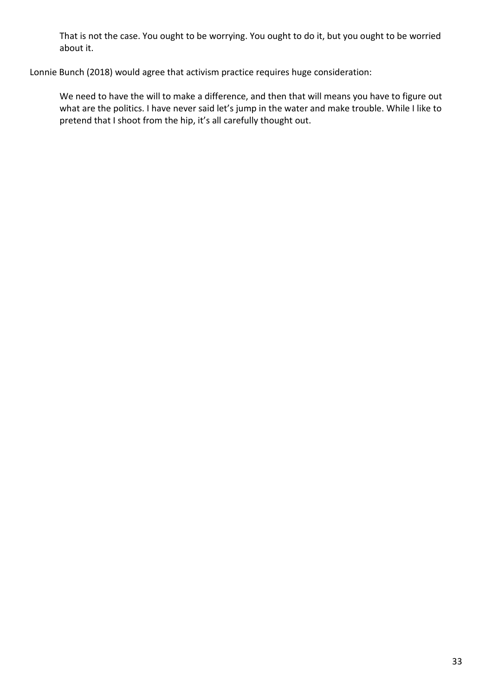That is not the case. You ought to be worrying. You ought to do it, but you ought to be worried about it.

Lonnie Bunch (2018) would agree that activism practice requires huge consideration:

We need to have the will to make a difference, and then that will means you have to figure out what are the politics. I have never said let's jump in the water and make trouble. While I like to pretend that I shoot from the hip, it's all carefully thought out.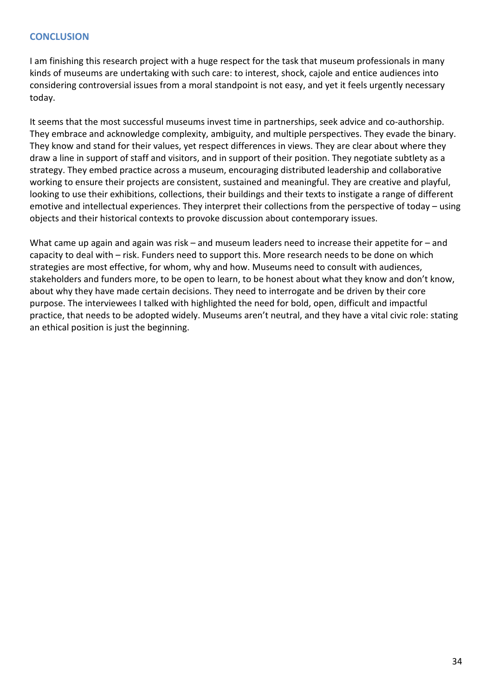## <span id="page-33-0"></span>**CONCLUSION**

I am finishing this research project with a huge respect for the task that museum professionals in many kinds of museums are undertaking with such care: to interest, shock, cajole and entice audiences into considering controversial issues from a moral standpoint is not easy, and yet it feels urgently necessary today.

It seems that the most successful museums invest time in partnerships, seek advice and co-authorship. They embrace and acknowledge complexity, ambiguity, and multiple perspectives. They evade the binary. They know and stand for their values, yet respect differences in views. They are clear about where they draw a line in support of staff and visitors, and in support of their position. They negotiate subtlety as a strategy. They embed practice across a museum, encouraging distributed leadership and collaborative working to ensure their projects are consistent, sustained and meaningful. They are creative and playful, looking to use their exhibitions, collections, their buildings and their texts to instigate a range of different emotive and intellectual experiences. They interpret their collections from the perspective of today – using objects and their historical contexts to provoke discussion about contemporary issues.

What came up again and again was risk – and museum leaders need to increase their appetite for – and capacity to deal with – risk. Funders need to support this. More research needs to be done on which strategies are most effective, for whom, why and how. Museums need to consult with audiences, stakeholders and funders more, to be open to learn, to be honest about what they know and don't know, about why they have made certain decisions. They need to interrogate and be driven by their core purpose. The interviewees I talked with highlighted the need for bold, open, difficult and impactful practice, that needs to be adopted widely. Museums aren't neutral, and they have a vital civic role: stating an ethical position is just the beginning.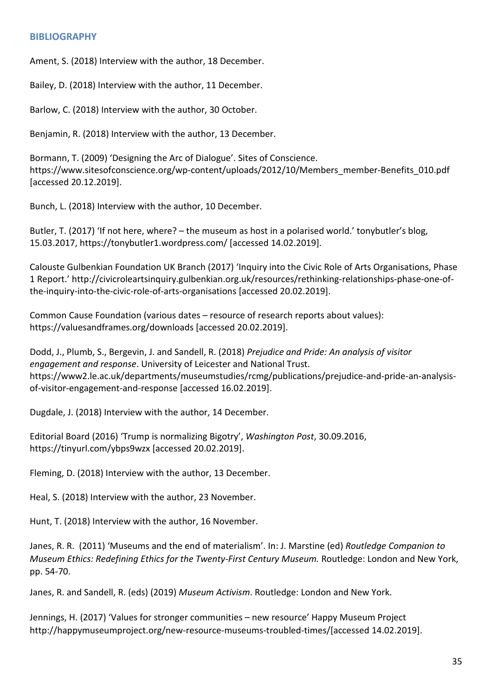#### <span id="page-34-0"></span>**BIBLIOGRAPHY**

Ament, S. (2018) Interview with the author, 18 December.

Bailey, D. (2018) Interview with the author, 11 December.

Barlow, C. (2018) Interview with the author, 30 October.

Benjamin, R. (2018) Interview with the author, 13 December.

Bormann, T. (2009) 'Designing the Arc of Dialogue'. Sites of Conscience. [https://www.sitesofconscience.org/wp-content/uploads/2012/10/Members\\_member-Benefits\\_010.pdf](https://www.sitesofconscience.org/wp-content/uploads/2012/10/Members_member-Benefits_010.pdf) [accessed 20.12.2019].

Bunch, L. (2018) Interview with the author, 10 December.

Butler, T. (2017) 'If not here, where? – [the museum as host in a polarised](https://tonybutler1.wordpress.com/2017/03/15/if-not-here-where-the-museum-as-host-in-a-polarised-world/) world.' tonybutler's blog, 15.03.2017, <https://tonybutler1.wordpress.com/> [accessed 14.02.2019].

Calouste Gulbenkian Foundation UK Branch (2017) 'Inquiry into the Civic Role of Arts Organisations, Phase 1 Report.' [http://civicroleartsinquiry.gulbenkian.org.uk/resources/rethinking-relationships-phase-one-of](http://civicroleartsinquiry.gulbenkian.org.uk/resources/rethinking-relationships-phase-one-of-the-inquiry-into-the-civic-role-of-arts-organisations)[the-inquiry-into-the-civic-role-of-arts-organisations](http://civicroleartsinquiry.gulbenkian.org.uk/resources/rethinking-relationships-phase-one-of-the-inquiry-into-the-civic-role-of-arts-organisations) [accessed 20.02.2019].

Common Cause Foundation (various dates – resource of research reports about values): <https://valuesandframes.org/downloads> [accessed 20.02.2019].

Dodd, J., Plumb, S., Bergevin, J. and Sandell, R. (2018) *Prejudice and Pride: An analysis of visitor engagement and response*. University of Leicester and National Trust. [https://www2.le.ac.uk/departments/museumstudies/rcmg/publications/prejudice-and-pride-an-analysis](https://www2.le.ac.uk/departments/museumstudies/rcmg/publications/prejudice-and-pride-an-analysis-of-visitor-engagement-and-response)[of-visitor-engagement-and-response](https://www2.le.ac.uk/departments/museumstudies/rcmg/publications/prejudice-and-pride-an-analysis-of-visitor-engagement-and-response) [accessed 16.02.2019].

Dugdale, J. (2018) Interview with the author, 14 December.

Editorial Board (2016) 'Trump is normalizing Bigotry', *Washington Post*, 30.09.2016, <https://tinyurl.com/ybps9wzx> [accessed 20.02.2019].

Fleming, D. (2018) Interview with the author, 13 December.

Heal, S. (2018) Interview with the author, 23 November.

Hunt, T. (2018) Interview with the author, 16 November.

Janes, R. R. (2011) 'Museums and the end of materialism'. In: J. Marstine (ed) *[Routledge Companion to](http://www.routledge.com/books/details/9780415566124/)  [Museum Ethics: Redefining Ethics for the Twenty-First Century Museum.](http://www.routledge.com/books/details/9780415566124/)* Routledge: London and New York, pp. 54-70.

Janes, R. and Sandell, R. (eds) (2019) *Museum Activism*. Routledge: London and New York.

Jennings, H. (2017) 'Values for stronger communities – new resource' Happy Museum Project [http://happymuseumproject.org/new-resource-museums-troubled-times/\[](http://happymuseumproject.org/new-resource-museums-troubled-times/)accessed 14.02.2019].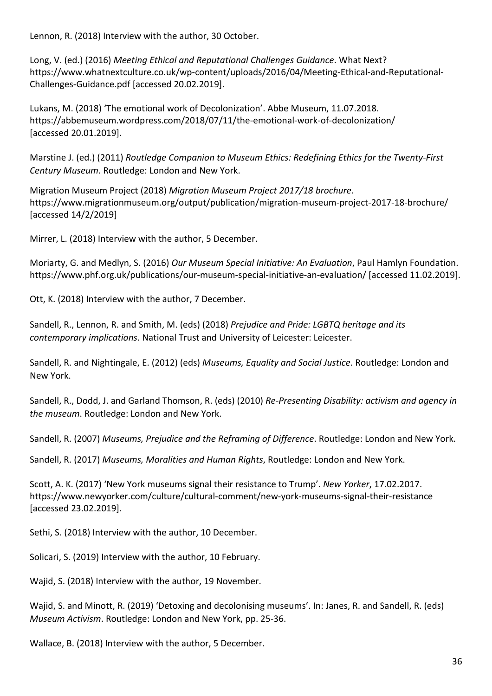Lennon, R. (2018) Interview with the author, 30 October.

Long, V. (ed.) (2016) *Meeting Ethical and Reputational Challenges Guidance*. What Next? [https://www.whatnextculture.co.uk/wp-content/uploads/2016/04/Meeting-Ethical-and-Reputational-](https://www.whatnextculture.co.uk/wp-content/uploads/2016/04/Meeting-Ethical-and-Reputational-Challenges-Guidance.pdf)[Challenges-Guidance.pdf](https://www.whatnextculture.co.uk/wp-content/uploads/2016/04/Meeting-Ethical-and-Reputational-Challenges-Guidance.pdf) [accessed 20.02.2019].

Lukans, M. (2018) 'The emotional work of Decolonization'. Abbe Museum, 11.07.2018. <https://abbemuseum.wordpress.com/2018/07/11/the-emotional-work-of-decolonization/> [accessed 20.01.2019].

Marstine J. (ed.) (2011) *[Routledge Companion to Museum Ethics: Redefining Ethics for the Twenty-First](http://www.routledge.com/books/details/9780415566124/)  [Century Museum](http://www.routledge.com/books/details/9780415566124/)*. Routledge: London and New York.

Migration Museum Project (2018) *Migration Museum Project 2017/18 brochure*. <https://www.migrationmuseum.org/output/publication/migration-museum-project-2017-18-brochure/> [accessed 14/2/2019]

Mirrer, L. (2018) Interview with the author, 5 December.

Moriarty, G. and Medlyn, S. (2016) *Our Museum Special Initiative: An Evaluation*, Paul Hamlyn Foundation. <https://www.phf.org.uk/publications/our-museum-special-initiative-an-evaluation/> [accessed 11.02.2019].

Ott, K. (2018) Interview with the author, 7 December.

Sandell, R., Lennon, R. and Smith, M. (eds) (2018) *Prejudice and Pride: LGBTQ heritage and its contemporary implications*. National Trust and University of Leicester: Leicester.

Sandell, R. and Nightingale, E. (2012) (eds) *[Museums, Equality and Social Justice](http://www.routledge.com/books/details/9780415504690/)*. Routledge: London and New York.

Sandell, R., Dodd, J. and Garland Thomson, R. (eds) (2010) *[Re-Presenting Disability: activism and agency in](http://www.routledge.com/books/details/9780415494731/)  [the museum](http://www.routledge.com/books/details/9780415494731/)*. Routledge: London and New York.

Sandell, R. (2007) *Museums, Prejudice and the Reframing of Difference*. Routledge: London and New York.

Sandell, R. (2017) *Museums, Moralities and Human Rights*, Routledge: London and New York.

Scott, A. K. (2017) 'New York museums signal their resistance to Trump'. *New Yorker*, 17.02.2017. <https://www.newyorker.com/culture/cultural-comment/new-york-museums-signal-their-resistance> [accessed 23.02.2019].

Sethi, S. (2018) Interview with the author, 10 December.

Solicari, S. (2019) Interview with the author, 10 February.

Wajid, S. (2018) Interview with the author, 19 November.

Wajid, S. and Minott, R. (2019) 'Detoxing and decolonising museums'. In: Janes, R. and Sandell, R. (eds) *Museum Activism*. Routledge: London and New York, pp. 25-36.

Wallace, B. (2018) Interview with the author, 5 December.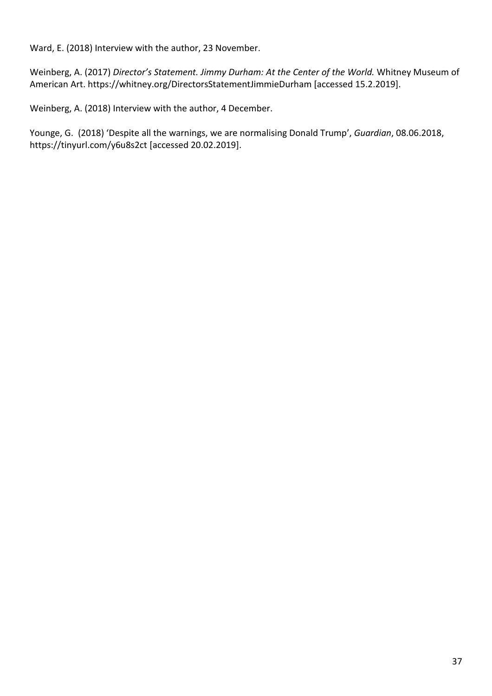Ward, E. (2018) Interview with the author, 23 November.

Weinberg, A. (2017) *Director's Statement. Jimmy Durham: At the Center of the World.* Whitney Museum of American Art.<https://whitney.org/DirectorsStatementJimmieDurham> [accessed 15.2.2019].

Weinberg, A. (2018) Interview with the author, 4 December.

Younge, G. (2018) 'Despite all the warnings, we are normalising Donald Trump', *Guardian*, 08.06.2018, <https://tinyurl.com/y6u8s2ct> [accessed 20.02.2019].